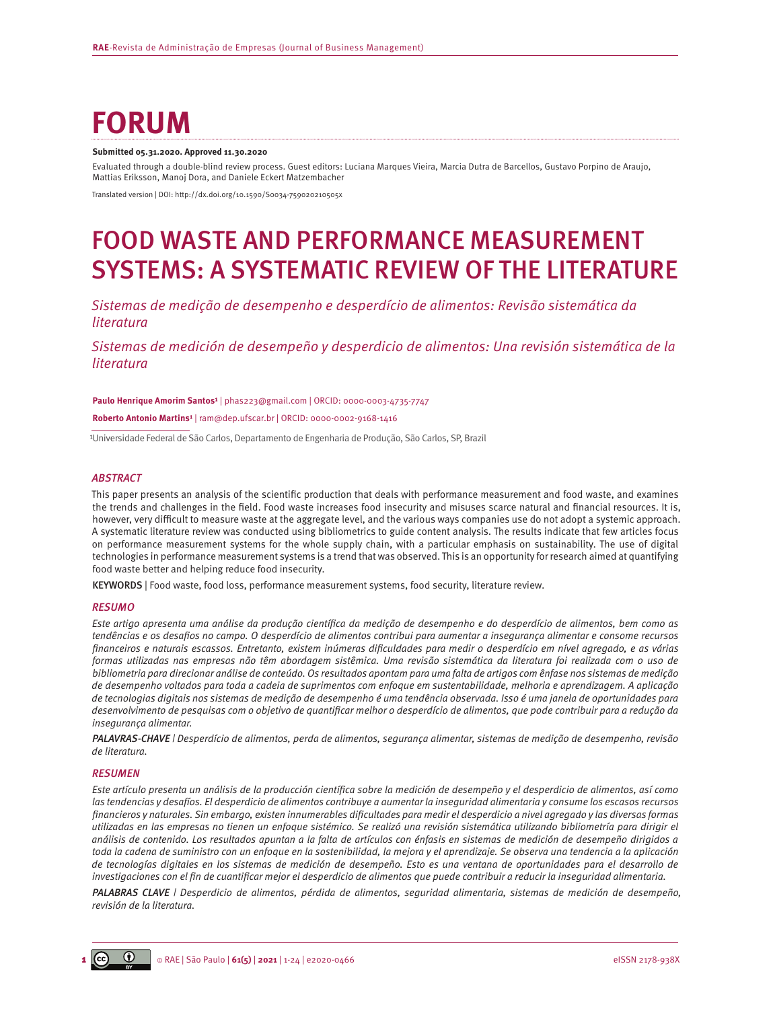# **FORUM**

#### **Submitted 05.31.2020. Approved 11.30.2020**

Evaluated through a double-blind review process. Guest editors: Luciana Marques Vieira, Marcia Dutra de Barcellos, Gustavo Porpino de Araujo, Mattias Eriksson, Manoj Dora, and Daniele Eckert Matzembacher

Translated version | DOI: [http://dx.doi.org/10.1590/S0034-759020210505x](http://dx.doi.org/10.1590/S0034-759020210505)

# FOOD WASTE AND PERFORMANCE MEASUREMENT SYSTEMS: A SYSTEMATIC REVIEW OF THE LITERATURE

*Sistemas de medição de desempenho e desperdício de alimentos: Revisão sistemática da literatura*

*Sistemas de medición de desempeño y desperdicio de alimentos: Una revisión sistemática de la literatura*

Paulo Henrique Amorim Santos<sup>1</sup> | [phas223@gmail.com](mailto:phas223@gmail.com) | ORCID: 0000-0003-4735-7747

**Roberto Antonio Martins¹** | [ram@dep.ufscar.br](mailto:ram@dep.ufscar.br) | ORCID: 0000-0002-9168-1416

<sup>1</sup>Universidade Federal de São Carlos, Departamento de Engenharia de Produção, São Carlos, SP, Brazil

#### *ABSTRACT*

This paper presents an analysis of the scientific production that deals with performance measurement and food waste, and examines the trends and challenges in the field. Food waste increases food insecurity and misuses scarce natural and financial resources. It is, however, very difficult to measure waste at the aggregate level, and the various ways companies use do not adopt a systemic approach. A systematic literature review was conducted using bibliometrics to guide content analysis. The results indicate that few articles focus on performance measurement systems for the whole supply chain, with a particular emphasis on sustainability. The use of digital technologies in performance measurement systems is a trend that was observed. This is an opportunity for research aimed at quantifying food waste better and helping reduce food insecurity.

KEYWORDS | Food waste, food loss, performance measurement systems, food security, literature review.

#### *RESUMO*

*Este artigo apresenta uma análise da produção científica da medição de desempenho e do desperdício de alimentos, bem como as tendências e os desafios no campo. O desperdício de alimentos contribui para aumentar a insegurança alimentar e consome recursos financeiros e naturais escassos. Entretanto, existem inúmeras dificuldades para medir o desperdício em nível agregado, e as várias formas utilizadas nas empresas não têm abordagem sistêmica. Uma revisão sistemática da literatura foi realizada com o uso de bibliometria para direcionar análise de conteúdo. Os resultados apontam para uma falta de artigos com ênfase nos sistemas de medição de desempenho voltados para toda a cadeia de suprimentos com enfoque em sustentabilidade, melhoria e aprendizagem. A aplicação de tecnologias digitais nos sistemas de medição de desempenho é uma tendência observada. Isso é uma janela de oportunidades para desenvolvimento de pesquisas com o objetivo de quantificar melhor o desperdício de alimentos, que pode contribuir para a redução da insegurança alimentar.* 

*PALAVRAS-CHAVE | Desperdício de alimentos, perda de alimentos, segurança alimentar, sistemas de medição de desempenho, revisão de literatura.*

#### *RESUMEN*

*Este artículo presenta un análisis de la producción científica sobre la medición de desempeño y el desperdicio de alimentos, así como las tendencias y desafíos. El desperdicio de alimentos contribuye a aumentar la inseguridad alimentaria y consume los escasos recursos financieros y naturales. Sin embargo, existen innumerables dificultades para medir el desperdicio a nivel agregado y las diversas formas utilizadas en las empresas no tienen un enfoque sistémico. Se realizó una revisión sistemática utilizando bibliometría para dirigir el análisis de contenido. Los resultados apuntan a la falta de artículos con énfasis en sistemas de medición de desempeño dirigidos a toda la cadena de suministro con un enfoque en la sostenibilidad, la mejora y el aprendizaje. Se observa una tendencia a la aplicación de tecnologías digitales en los sistemas de medición de desempeño. Esto es una ventana de oportunidades para el desarrollo de investigaciones con el fin de cuantificar mejor el desperdicio de alimentos que puede contribuir a reducir la inseguridad alimentaria.* 

*PALABRAS CLAVE | Desperdicio de alimentos, pérdida de alimentos, seguridad alimentaria, sistemas de medición de desempeño, revisión de la literatura.*

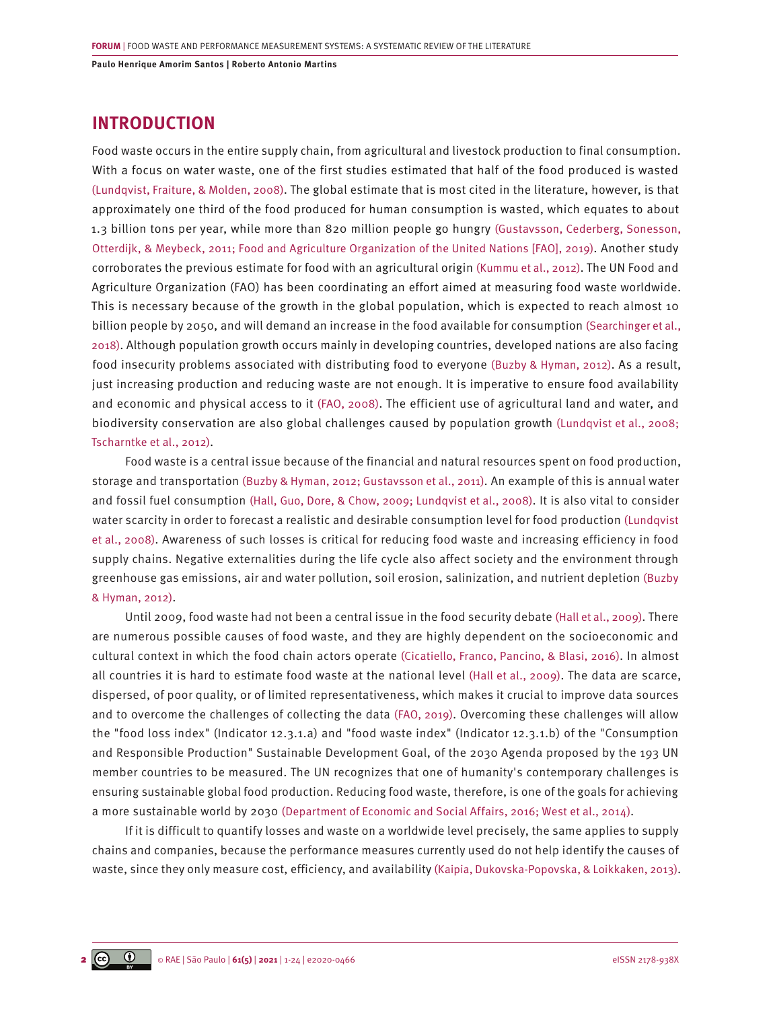# **INTRODUCTION**

Food waste occurs in the entire supply chain, from agricultural and livestock production to final consumption. With a focus on water waste, one of the first studies estimated that half of the food produced is wasted [\(Lundqvist, Fraiture, & Molden, 2008\)](#page-21-0). The global estimate that is most cited in the literature, however, is that approximately one third of the food produced for human consumption is wasted, which equates to about 1.3 billion tons per year, while more than 820 million people go hungry [\(Gustavsson, Cederberg, Sonesson,](#page-20-0) [Otterdijk, & Meybeck, 2011; Food and Agriculture Organization of the United Nations \[FAO\], 2019\).](#page-20-0) Another study corroborates the previous estimate for food with an agricultural origin [\(Kummu et al., 2012\)](#page-21-0). The UN Food and Agriculture Organization (FAO) has been coordinating an effort aimed at measuring food waste worldwide. This is necessary because of the growth in the global population, which is expected to reach almost 10 billion people by 2050, and will demand an increase in the food available for consumption [\(Searchinger et al.,](#page-22-0) [2018\).](#page-22-0) Although population growth occurs mainly in developing countries, developed nations are also facing food insecurity problems associated with distributing food to everyone [\(Buzby & Hyman, 2012\)](#page-19-0). As a result, just increasing production and reducing waste are not enough. It is imperative to ensure food availability and economic and physical access to it [\(FAO, 2008\).](#page-20-0) The efficient use of agricultural land and water, and biodiversity conservation are also global challenges caused by population growth [\(Lundqvist et al., 2008;](#page-21-0)  [Tscharntke et al., 2012\)](#page-21-0).

Food waste is a central issue because of the financial and natural resources spent on food production, storage and transportation [\(Buzby & Hyman, 2012; Gustavsson et al., 2011\)](#page-19-0). An example of this is annual water and fossil fuel consumption [\(Hall, Guo, Dore, & Chow, 2009; Lundqvist et al., 2008\)](#page-20-0). It is also vital to consider water scarcity in order to forecast a realistic and desirable consumption level for food production [\(Lundqvist](#page-21-0) [et al., 2008\).](#page-21-0) Awareness of such losses is critical for reducing food waste and increasing efficiency in food supply chains. Negative externalities during the life cycle also affect society and the environment through greenhouse gas emissions, air and water pollution, soil erosion, salinization, and nutrient depletion [\(Buzby](#page-19-0) [& Hyman, 2012\)](#page-19-0).

Until 2009, food waste had not been a central issue in the food security debate [\(Hall et al., 2009\)](#page-20-0). There are numerous possible causes of food waste, and they are highly dependent on the socioeconomic and cultural context in which the food chain actors operate [\(Cicatiello, Franco, Pancino, & Blasi, 2016\).](#page-19-0) In almost all countries it is hard to estimate food waste at the national level [\(Hall et al., 2009\)](#page-20-0). The data are scarce, dispersed, of poor quality, or of limited representativeness, which makes it crucial to improve data sources and to overcome the challenges of collecting the data [\(FAO, 2019\).](#page-20-0) Overcoming these challenges will allow the "food loss index" (Indicator 12.3.1.a) and "food waste index" (Indicator 12.3.1.b) of the "Consumption and Responsible Production" Sustainable Development Goal, of the 2030 Agenda proposed by the 193 UN member countries to be measured. The UN recognizes that one of humanity's contemporary challenges is ensuring sustainable global food production. Reducing food waste, therefore, is one of the goals for achieving a more sustainable world by 2030 [\(Department of Economic and Social Affairs, 2016; West et al., 2014\)](#page-20-0).

If it is difficult to quantify losses and waste on a worldwide level precisely, the same applies to supply chains and companies, because the performance measures currently used do not help identify the causes of waste, since they only measure cost, efficiency, and availability [\(Kaipia, Dukovska-Popovska, & Loikkaken, 2013\)](#page-21-0).

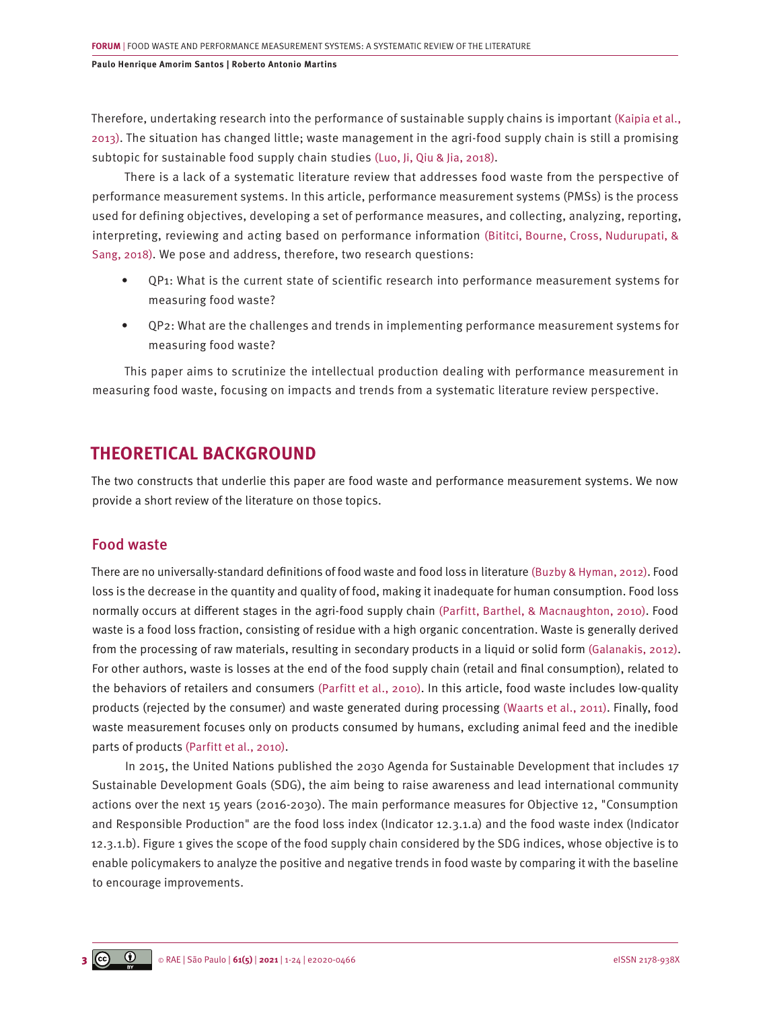Therefore, undertaking research into the performance of sustainable supply chains is important [\(Kaipia et al.,](#page-21-0) [2013\)](#page-21-0). The situation has changed little; waste management in the agri-food supply chain is still a promising subtopic for sustainable food supply chain studies [\(Luo, Ji, Qiu & Jia, 2018\).](#page-21-0)

There is a lack of a systematic literature review that addresses food waste from the perspective of performance measurement systems. In this article, performance measurement systems (PMSs) is the process used for defining objectives, developing a set of performance measures, and collecting, analyzing, reporting, interpreting, reviewing and acting based on performance information [\(Bititci, Bourne, Cross, Nudurupati, &](#page-19-0) [Sang, 2018\).](#page-19-0) We pose and address, therefore, two research questions:

- QP1: What is the current state of scientific research into performance measurement systems for measuring food waste?
- QP2: What are the challenges and trends in implementing performance measurement systems for measuring food waste?

This paper aims to scrutinize the intellectual production dealing with performance measurement in measuring food waste, focusing on impacts and trends from a systematic literature review perspective.

# **THEORETICAL BACKGROUND**

The two constructs that underlie this paper are food waste and performance measurement systems. We now provide a short review of the literature on those topics.

# Food waste

There are no universally-standard definitions of food waste and food loss in literature [\(Buzby & Hyman, 2012\).](#page-19-0) Food loss is the decrease in the quantity and quality of food, making it inadequate for human consumption. Food loss normally occurs at different stages in the agri-food supply chain [\(Parfitt, Barthel, & Macnaughton, 2010\).](#page-22-0) Food waste is a food loss fraction, consisting of residue with a high organic concentration. Waste is generally derived from the processing of raw materials, resulting in secondary products in a liquid or solid form [\(Galanakis, 2012\)](#page-20-0). For other authors, waste is losses at the end of the food supply chain (retail and final consumption), related to the behaviors of retailers and consumers [\(Parfitt et al., 2010\)](#page-22-0). In this article, food waste includes low-quality products (rejected by the consumer) and waste generated during processing [\(Waarts et al., 2011\).](#page-23-0) Finally, food waste measurement focuses only on products consumed by humans, excluding animal feed and the inedible parts of products [\(Parfitt et al., 2010\)](#page-22-0).

In 2015, the United Nations published the 2030 Agenda for Sustainable Development that includes 17 Sustainable Development Goals (SDG), the aim being to raise awareness and lead international community actions over the next 15 years (2016-2030). The main performance measures for Objective 12, "Consumption and Responsible Production" are the food loss index (Indicator 12.3.1.a) and the food waste index (Indicator 12.3.1.b). Figure 1 gives the scope of the food supply chain considered by the SDG indices, whose objective is to enable policymakers to analyze the positive and negative trends in food waste by comparing it with the baseline to encourage improvements.

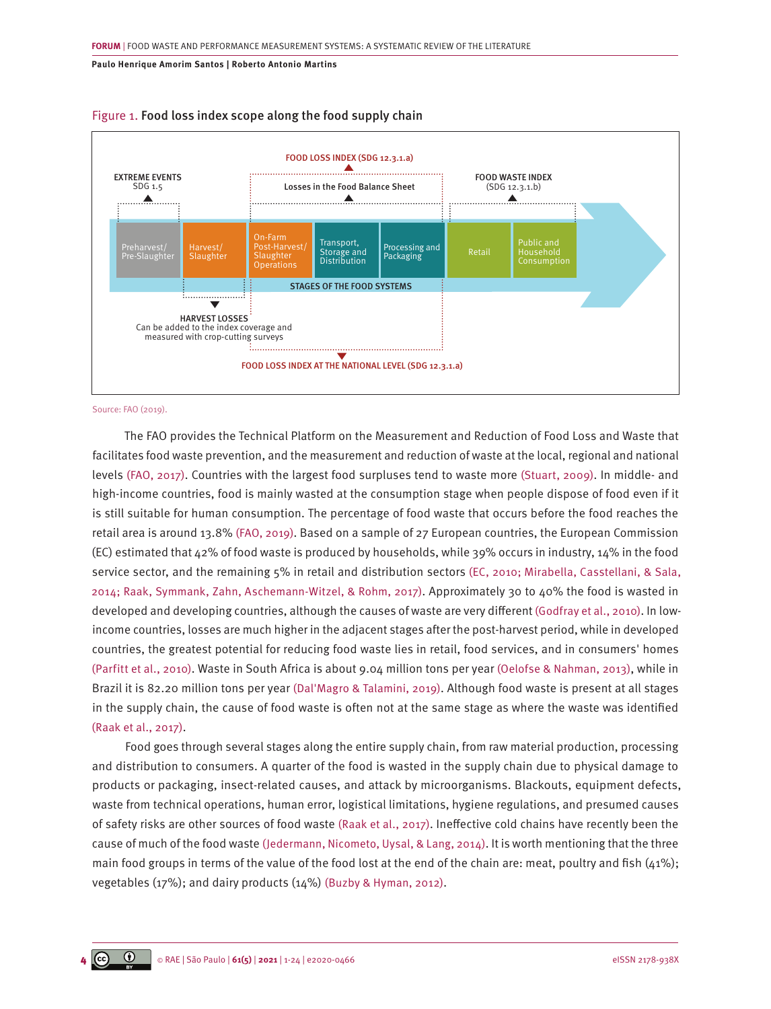

## Figure 1. Food loss index scope along the food supply chain

Source: FAO (2019).

The FAO provides the Technical Platform on the Measurement and Reduction of Food Loss and Waste that facilitates food waste prevention, and the measurement and reduction of waste at the local, regional and national levels [\(FAO, 2017\).](#page-19-0) Countries with the largest food surpluses tend to waste more [\(Stuart, 2009\).](#page-22-0) In middle- and high-income countries, food is mainly wasted at the consumption stage when people dispose of food even if it is still suitable for human consumption. The percentage of food waste that occurs before the food reaches the retail area is around 13.8% [\(FAO, 2019\).](#page-20-0) Based on a sample of 27 European countries, the European Commission (EC) estimated that  $42\%$  of food waste is produced by households, while 39% occurs in industry,  $14\%$  in the food service sector, and the remaining 5% in retail and distribution sectors [\(EC, 2010; Mirabella, Casstellani, & Sala,](#page-19-0) [2014; Raak, Symmank, Zahn, Aschemann-Witzel, & Rohm, 2017\).](#page-19-0) Approximately 30 to 40% the food is wasted in developed and developing countries, although the causes of waste are very different [\(Godfray et al., 2010\).](#page-20-0) In lowincome countries, losses are much higher in the adjacent stages after the post-harvest period, while in developed countries, the greatest potential for reducing food waste lies in retail, food services, and in consumers' homes [\(Parfitt et al., 2010\).](#page-22-0) Waste in South Africa is about 9.04 million tons per year [\(Oelofse & Nahman, 2013\)](#page-22-0), while in Brazil it is 82.20 million tons per year [\(Dal'Magro & Talamini, 2019\)](#page-19-0). Although food waste is present at all stages in the supply chain, the cause of food waste is often not at the same stage as where the waste was identified [\(Raak et al., 2017\)](#page-22-0).

Food goes through several stages along the entire supply chain, from raw material production, processing and distribution to consumers. A quarter of the food is wasted in the supply chain due to physical damage to products or packaging, insect-related causes, and attack by microorganisms. Blackouts, equipment defects, waste from technical operations, human error, logistical limitations, hygiene regulations, and presumed causes of safety risks are other sources of food waste [\(Raak et al., 2017\).](#page-22-0) Ineffective cold chains have recently been the cause of much of the food waste [\(Jedermann, Nicometo, Uysal, & Lang, 2014\)](#page-20-0). It is worth mentioning that the three main food groups in terms of the value of the food lost at the end of the chain are: meat, poultry and fish  $(41%)$ ; vegetables (17%); and dairy products (14%) [\(Buzby & Hyman, 2012\).](#page-19-0)

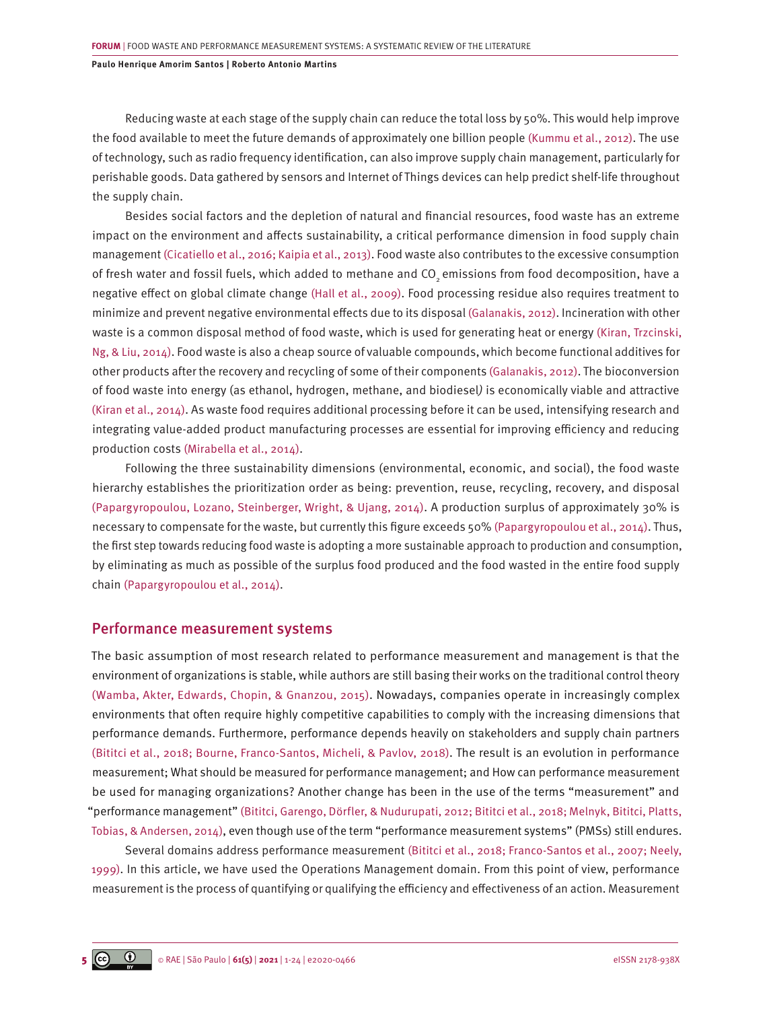Reducing waste at each stage of the supply chain can reduce the total loss by 50%. This would help improve the food available to meet the future demands of approximately one billion people [\(Kummu et al., 2012\).](#page-21-0) The use of technology, such as radio frequency identification, can also improve supply chain management, particularly for perishable goods. Data gathered by sensors and Internet of Things devices can help predict shelf-life throughout the supply chain.

Besides social factors and the depletion of natural and financial resources, food waste has an extreme impact on the environment and affects sustainability, a critical performance dimension in food supply chain management [\(Cicatiello et al., 2016; Kaipia et al., 2013\).](#page-19-0) Food waste also contributes to the excessive consumption of fresh water and fossil fuels, which added to methane and CO<sub>2</sub> emissions from food decomposition, have a negative effect on global climate change [\(Hall et al., 2009\).](#page-20-0) Food processing residue also requires treatment to minimize and prevent negative environmental effects due to its disposal [\(Galanakis, 2012\)](#page-20-0). Incineration with other waste is a common disposal method of food waste, which is used for generating heat or energy [\(Kiran, Trzcinski,](#page-21-0)  [Ng, & Liu, 2014\)](#page-21-0). Food waste is also a cheap source of valuable compounds, which become functional additives for other products after the recovery and recycling of some of their components [\(Galanakis, 2012\)](#page-20-0). The bioconversion of food waste into energy (as ethanol, hydrogen, methane, and biodiesel*)* is economically viable and attractive [\(Kiran et al., 2014\).](#page-21-0) As waste food requires additional processing before it can be used, intensifying research and integrating value-added product manufacturing processes are essential for improving efficiency and reducing production costs [\(Mirabella et al., 2014\)](#page-21-0).

Following the three sustainability dimensions (environmental, economic, and social), the food waste hierarchy establishes the prioritization order as being: prevention, reuse, recycling, recovery, and disposal [\(Papargyropoulou, Lozano, Steinberger, Wright, & Ujang, 2014\)](#page-22-0). A production surplus of approximately 30% is necessary to compensate for the waste, but currently this figure exceeds 50% [\(Papargyropoulou et al., 2014\)](#page-22-0). Thus, the first step towards reducing food waste is adopting a more sustainable approach to production and consumption, by eliminating as much as possible of the surplus food produced and the food wasted in the entire food supply chain [\(Papargyropoulou et al., 2014\)](#page-22-0).

## Performance measurement systems

The basic assumption of most research related to performance measurement and management is that the environment of organizations is stable, while authors are still basing their works on the traditional control theory [\(Wamba, Akter, Edwards, Chopin, & Gnanzou, 2015\)](#page-22-0). Nowadays, companies operate in increasingly complex environments that often require highly competitive capabilities to comply with the increasing dimensions that performance demands. Furthermore, performance depends heavily on stakeholders and supply chain partners [\(Bititci et al., 2018; Bourne, Franco-Santos, Micheli, & Pavlov, 2018\)](#page-19-0). The result is an evolution in performance measurement; What should be measured for performance management; and How can performance measurement be used for managing organizations? Another change has been in the use of the terms "measurement" and "performance management" [\(Bititci, Garengo, Dörfler, & Nudurupati, 2012; Bititci et al., 2018; Melnyk, Bititci, Platts,](#page-19-0)  [Tobias, & Andersen, 2014\)](#page-19-0), even though use of the term "performance measurement systems" (PMSs) still endures.

Several domains address performance measurement [\(Bititci et al., 2018; Franco-Santos et al., 2007; Neely,](#page-19-0)  [1999\).](#page-19-0) In this article, we have used the Operations Management domain. From this point of view, performance measurement is the process of quantifying or qualifying the efficiency and effectiveness of an action. Measurement

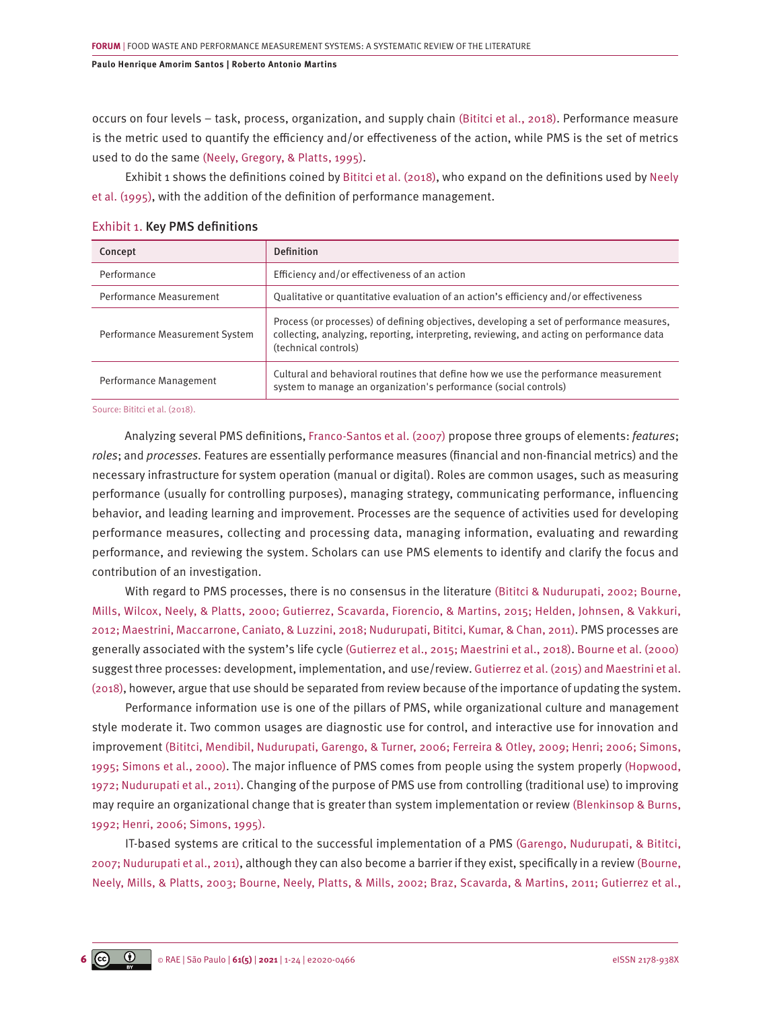occurs on four levels – task, process, organization, and supply chain [\(Bititci et al., 2018\).](#page-18-0) Performance measure is the metric used to quantify the efficiency and/or effectiveness of the action, while PMS is the set of metrics used to do the same [\(Neely, Gregory, & Platts, 1995\)](#page-21-0).

Exhibit 1 shows the definitions coined by [Bititci et al. \(2018\),](#page-18-0) who expand on the definitions used by [Neely](#page-21-0) [et al. \(1995\)](#page-21-0), with the addition of the definition of performance management.

| Concept                        | <b>Definition</b>                                                                                                                                                                                             |
|--------------------------------|---------------------------------------------------------------------------------------------------------------------------------------------------------------------------------------------------------------|
| Performance                    | Efficiency and/or effectiveness of an action                                                                                                                                                                  |
| Performance Measurement        | Qualitative or quantitative evaluation of an action's efficiency and/or effectiveness                                                                                                                         |
| Performance Measurement System | Process (or processes) of defining objectives, developing a set of performance measures,<br>collecting, analyzing, reporting, interpreting, reviewing, and acting on performance data<br>(technical controls) |
| Performance Management         | Cultural and behavioral routines that define how we use the performance measurement<br>system to manage an organization's performance (social controls)                                                       |

### Exhibit 1. Key PMS definitions

Source: Bititci et al. (2018).

Analyzing several PMS definitions[, Franco-Santos et al. \(2007\)](#page-20-0) propose three groups of elements: *features*; *roles*; and *processes.* Features are essentially performance measures (financial and non-financial metrics) and the necessary infrastructure for system operation (manual or digital). Roles are common usages, such as measuring performance (usually for controlling purposes), managing strategy, communicating performance, influencing behavior, and leading learning and improvement. Processes are the sequence of activities used for developing performance measures, collecting and processing data, managing information, evaluating and rewarding performance, and reviewing the system. Scholars can use PMS elements to identify and clarify the focus and contribution of an investigation.

With regard to PMS processes, there is no consensus in the literature [\(Bititci & Nudurupati, 2002; Bourne,](#page-19-0) [Mills, Wilcox, Neely, & Platts, 2000; Gutierrez, Scavarda, Fiorencio, & Martins, 2015; Helden, Johnsen, & Vakkuri,](#page-19-0)  [2012; Maestrini, Maccarrone, Caniato, & Luzzini, 2018; Nudurupati, Bititci, Kumar, & Chan, 2011\)](#page-19-0). PMS processes are generally associated with the system's life cycle [\(Gutierrez et al., 2015; Maestrini et al., 2018\)](#page-20-0). [Bourne et al. \(2000\)](#page-19-0) suggest three processes: development, implementation, and use/review. [Gutierrez et al. \(2015\) and Maestrini et al.](#page-20-0) [\(2018\)](#page-20-0), however, argue that use should be separated from review because of the importance of updating the system.

Performance information use is one of the pillars of PMS, while organizational culture and management style moderate it. Two common usages are diagnostic use for control, and interactive use for innovation and improvemen[t \(Bititci, Mendibil, Nudurupati, Garengo, & Turner, 2006; Ferreira & Otley, 2009; Henri; 2006; Simons,](#page-19-0) [1995; Simons et al., 2000\).](#page-19-0) The major influence of PMS comes from people using the system properly [\(Hopwood,](#page-20-0) [1972; Nudurupati et al., 2011\).](#page-20-0) Changing of the purpose of PMS use from controlling (traditional use) to improving may require an organizational change that is greater than system implementation or review [\(Blenkinsop & Burns,](#page-19-0) [1992; Henri, 2006; Simons, 1995\).](#page-19-0)

IT-based systems are critical to the successful implementation of a PMS [\(Garengo, Nudurupati, & Bititci,](#page-20-0) [2007; Nudurupati et al., 2011\)](#page-20-0), although they can also become a barrier if they exist, specifically in a review [\(Bourne,](#page-19-0) [Neely, Mills, & Platts, 2003; Bourne, Neely, Platts, & Mills, 2002; Braz, Scavarda, & Martins, 2011; Gutierrez et al.,](#page-19-0)

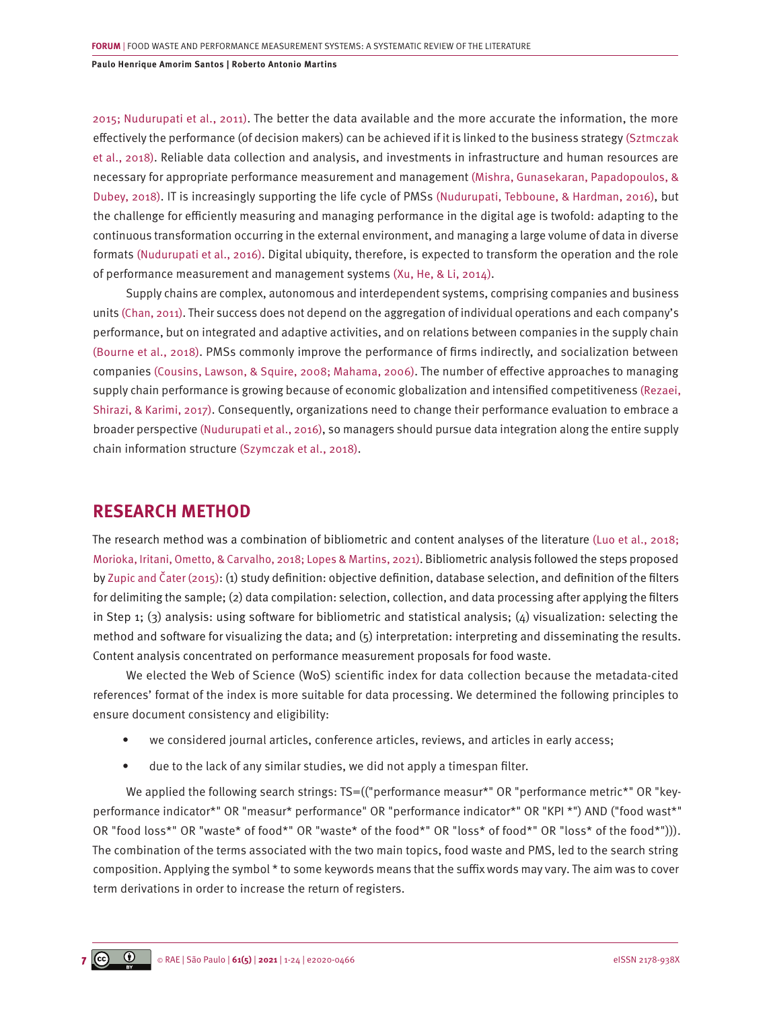[2015; Nudurupati et al., 2011\).](#page-19-0) The better the data available and the more accurate the information, the more effectively the performance (of decision makers) can be achieved if it is linked to the business strategy [\(Sztmczak](#page-22-0) [et al., 2018\).](#page-22-0) Reliable data collection and analysis, and investments in infrastructure and human resources are necessary for appropriate performance measurement and management [\(Mishra, Gunasekaran, Papadopoulos, &](#page-21-0) [Dubey, 2018\).](#page-21-0) IT is increasingly supporting the life cycle of PMSs [\(Nudurupati, Tebboune, & Hardman, 2016\)](#page-22-0), but the challenge for efficiently measuring and managing performance in the digital age is twofold: adapting to the continuous transformation occurring in the external environment, and managing a large volume of data in diverse formats [\(Nudurupati et al., 2016\)](#page-22-0). Digital ubiquity, therefore, is expected to transform the operation and the role of performance measurement and management systems [\(Xu, He, & Li, 2014\)](#page-23-0).

Supply chains are complex, autonomous and interdependent systems, comprising companies and business units [\(Chan, 2011\)](#page-19-0). Their success does not depend on the aggregation of individual operations and each company's performance, but on integrated and adaptive activities, and on relations between companies in the supply chain [\(Bourne et al., 2018\).](#page-19-0) PMSs commonly improve the performance of firms indirectly, and socialization between companies [\(Cousins, Lawson, & Squire, 2008; Mahama, 2006\)](#page-19-0). The number of effective approaches to managing supply chain performance is growing because of economic globalization and intensified competitiveness [\(Rezaei,](#page-22-0) [Shirazi, & Karimi, 2017\)](#page-22-0). Consequently, organizations need to change their performance evaluation to embrace a broader perspective [\(Nudurupati et al., 2016\),](#page-22-0) so managers should pursue data integration along the entire supply chain information structure [\(Szymczak et al., 2018\)](#page-22-0).

# **RESEARCH METHOD**

The research method was a combination of bibliometric and content analyses of the literature [\(Luo et al., 2018;](#page-21-0)  [Morioka, Iritani, Ometto, & Carvalho, 2018; Lopes & Martins, 2021\)](#page-21-0). Bibliometric analysis followed the steps proposed by [Zupic and Čater \(2015\)](#page-23-0): (1) study definition: objective definition, database selection, and definition of the filters for delimiting the sample; (2) data compilation: selection, collection, and data processing after applying the filters in Step 1; (3) analysis: using software for bibliometric and statistical analysis; (4) visualization: selecting the method and software for visualizing the data; and (5) interpretation: interpreting and disseminating the results. Content analysis concentrated on performance measurement proposals for food waste.

We elected the Web of Science (WoS) scientific index for data collection because the metadata-cited references' format of the index is more suitable for data processing. We determined the following principles to ensure document consistency and eligibility:

- we considered journal articles, conference articles, reviews, and articles in early access;
- due to the lack of any similar studies, we did not apply a timespan filter.

We applied the following search strings: TS=(("performance measur\*" OR "performance metric\*" OR "keyperformance indicator\*" OR "measur\* performance" OR "performance indicator\*" OR "KPI \*") AND ("food wast\*" OR "food loss\*" OR "waste\* of food\*" OR "waste\* of the food\*" OR "loss\* of food\*" OR "loss\* of the food\*"))). The combination of the terms associated with the two main topics, food waste and PMS, led to the search string composition. Applying the symbol \* to some keywords means that the suffix words may vary. The aim was to cover term derivations in order to increase the return of registers.

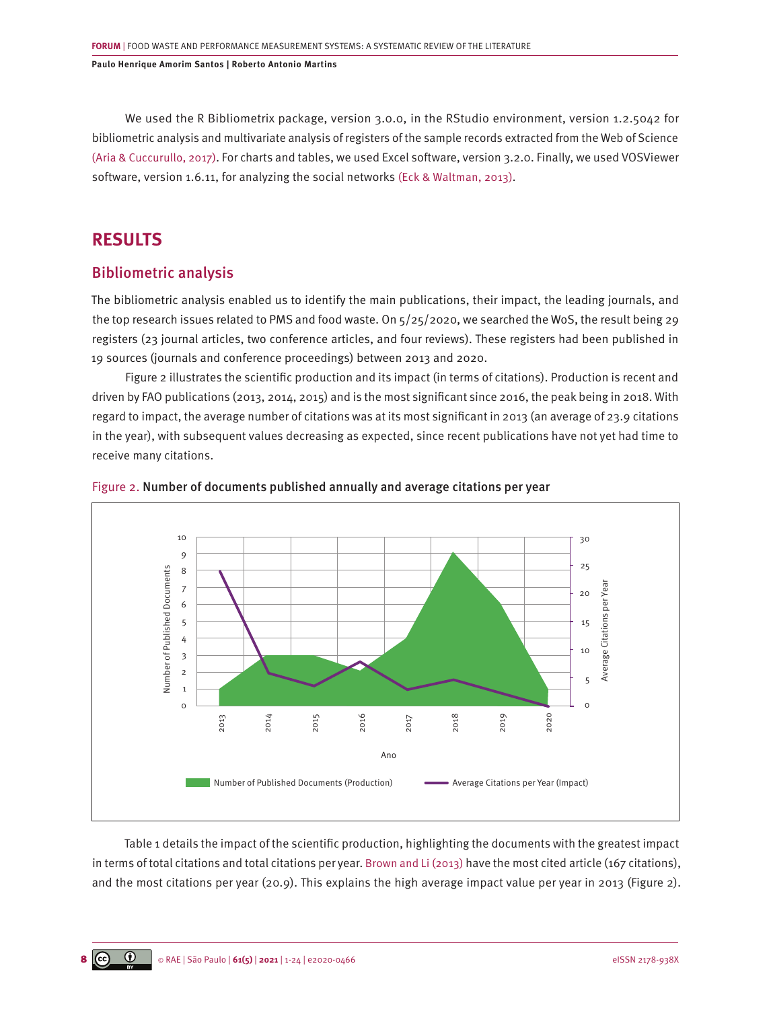We used the R Bibliometrix package, version 3.0.0, in the RStudio environment, version 1.2.5042 for bibliometric analysis and multivariate analysis of registers of the sample records extracted from the Web of Science [\(Aria & Cuccurullo, 2017\).](#page-18-0) For charts and tables, we used Excel software, version 3.2.0. Finally, we used VOSViewer software, version 1.6.11, for analyzing the social networks [\(Eck & Waltman, 2013\).](#page-19-0)

# **RESULTS**

## Bibliometric analysis

The bibliometric analysis enabled us to identify the main publications, their impact, the leading journals, and the top research issues related to PMS and food waste. On 5/25/2020, we searched the WoS, the result being 29 registers (23 journal articles, two conference articles, and four reviews). These registers had been published in 19 sources (journals and conference proceedings) between 2013 and 2020.

Figure 2 illustrates the scientific production and its impact (in terms of citations). Production is recent and driven by FAO publications (2013, 2014, 2015) and is the most significant since 2016, the peak being in 2018. With regard to impact, the average number of citations was at its most significant in 2013 (an average of 23.9 citations in the year), with subsequent values decreasing as expected, since recent publications have not yet had time to receive many citations.





Table 1 details the impact of the scientific production, highlighting the documents with the greatest impact in terms of total citations and total citations per year. [Brown and Li \(2013\)](#page-19-0) have the most cited article (167 citations), and the most citations per year (20.9). This explains the high average impact value per year in 2013 (Figure 2).

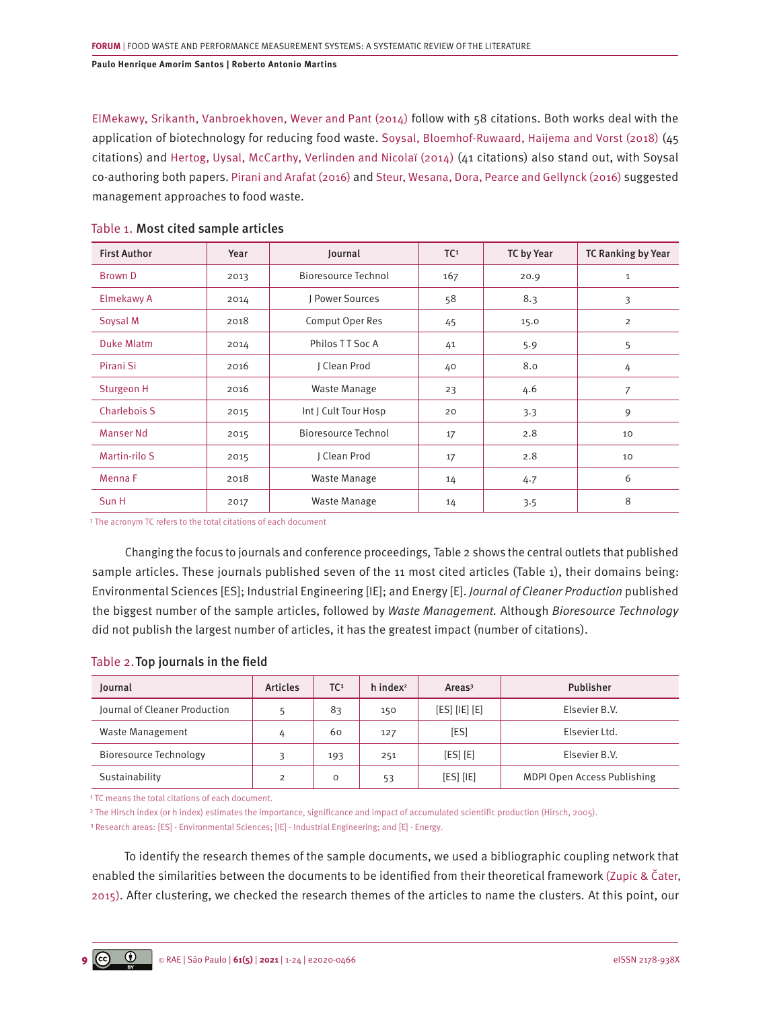[ElMekawy, Srikanth, Vanbroekhoven, Wever and Pant \(2014\)](#page-20-0) follow with 58 citations. Both works deal with the application of biotechnology for reducing food waste. [Soysal, Bloemhof-Ruwaard, Haijema and Vorst \(2018\)](#page-22-0) (45 citations) and [Hertog, Uysal, McCarthy, Verlinden and Nicolaï \(2014\)](#page-20-0) (41 citations) also stand out, with Soysal co-authoring both papers. [Pirani and Arafat \(2016\)](#page-22-0) and [Steur, Wesana, Dora, Pearce and Gellynck \(2016\)](#page-22-0) suggested management approaches to food waste.

| <b>First Author</b> | Year | Journal              | TC <sup>1</sup> | <b>TC by Year</b> | TC Ranking by Year |
|---------------------|------|----------------------|-----------------|-------------------|--------------------|
| Brown D             | 2013 | Bioresource Technol  | 167             | 20.9              | $\mathbf{1}$       |
| Elmekawy A          | 2014 | I Power Sources      | 58              | 8.3               | 3                  |
| Soysal M            | 2018 | Comput Oper Res      | 45              | 15.0              | $\overline{2}$     |
| <b>Duke Mlatm</b>   | 2014 | Philos TT Soc A      | 41              | 5.9               | 5                  |
| Pirani Si           | 2016 | J Clean Prod         | 40              | 8.0               | 4                  |
| Sturgeon H          | 2016 | Waste Manage         | 23              | 4.6               | $\overline{7}$     |
| <b>Charlebois S</b> | 2015 | Int J Cult Tour Hosp | 20              | 3.3               | 9                  |
| <b>Manser Nd</b>    | 2015 | Bioresource Technol  | 17              | 2.8               | 10                 |
| Martin-rilo S       | 2015 | J Clean Prod         | 17              | 2.8               | 10                 |
| Menna F             | 2018 | Waste Manage         | 14              | 4.7               | 6                  |
| Sun H               | 2017 | Waste Manage         | 14              | 3.5               | 8                  |

## Table 1. Most cited sample articles

<sup>1</sup> The acronym TC refers to the total citations of each document

Changing the focus to journals and conference proceedings*,* Table 2 shows the central outlets that published sample articles. These journals published seven of the 11 most cited articles (Table 1), their domains being: Environmental Sciences [ES]; Industrial Engineering [IE]; and Energy [E]. *Journal of Cleaner Production* published the biggest number of the sample articles, followed by *Waste Management.* Although *Bioresource Technology* did not publish the largest number of articles, it has the greatest impact (number of citations).

## Table 2.Top journals in the field

| Journal                       | <b>Articles</b> | TC <sup>1</sup> | $h$ index <sup>2</sup> | Area <sup>3</sup> | Publisher                   |
|-------------------------------|-----------------|-----------------|------------------------|-------------------|-----------------------------|
| Journal of Cleaner Production |                 | 83              | 150                    | [ES] [IE] [E]     | Elsevier B.V.               |
| <b>Waste Management</b>       | 4               | 60              | 127                    | [ES]              | Elsevier Ltd.               |
| Bioresource Technology        | ς               | 193             | 251                    | $[ES]$ $[E]$      | Elsevier B.V.               |
| Sustainability                | $\overline{2}$  | O               | 53                     | [ES] [IE]         | MDPI Open Access Publishing |

<sup>1</sup> TC means the total citations of each document.

² The Hirsch index (or h index) estimates the importance, significance and impact of accumulated scientific production (Hirsch, 2005).

<sup>3</sup> Research areas: [ES] - Environmental Sciences; [IE] - Industrial Engineering; and [E] - Energy.

To identify the research themes of the sample documents, we used a bibliographic coupling network that enabled the similarities between the documents to be identified from their theoretical framework [\(Zupic & Čater,](#page-23-0) [2015\)](#page-23-0). After clustering, we checked the research themes of the articles to name the clusters*.* At this point, our

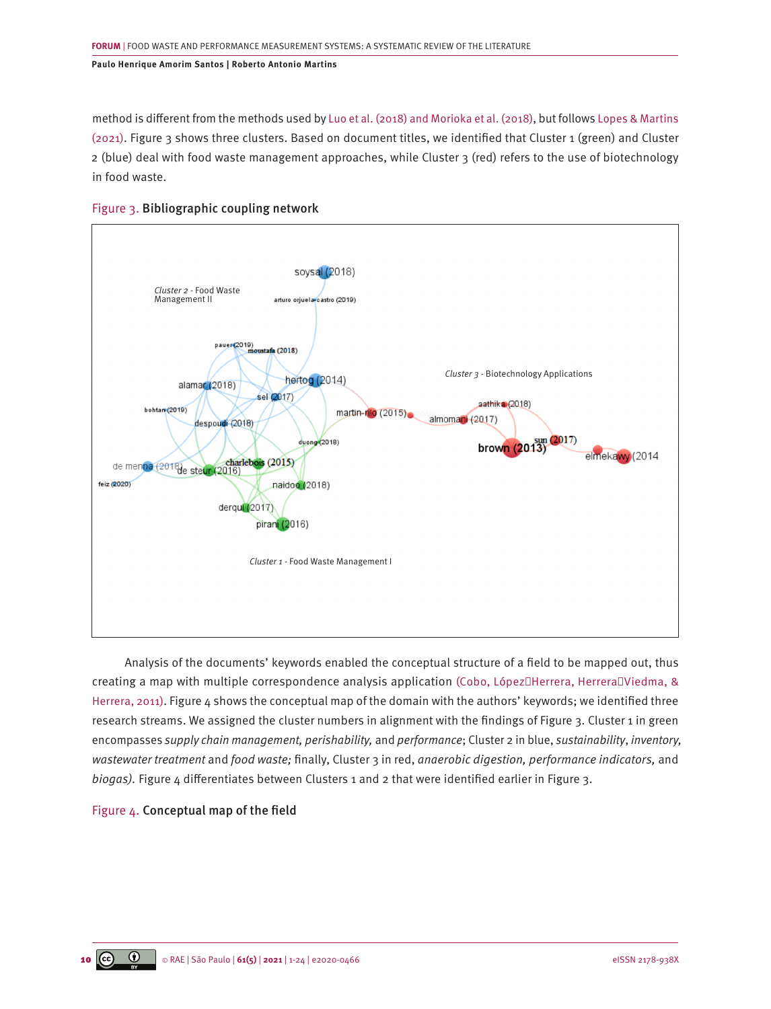method is different from the methods used b[y Luo et al. \(2018\) and Morioka et al. \(2018\),](#page-21-0) but follows [Lopes & Martins](#page-21-0) [\(2021\).](#page-21-0) Figure 3 shows three clusters. Based on document titles, we identified that Cluster 1 (green) and Cluster 2 (blue) deal with food waste management approaches, while Cluster 3 (red) refers to the use of biotechnology in food waste.



## Figure 3. Bibliographic coupling network

Analysis of the documents' keywords enabled the conceptual structure of a field to be mapped out, thus creating a map with multiple correspondence analysis application (Cobo, López Herrera, Herrera Viedma, & [Herrera, 2011\)](#page-19-0). Figure 4 shows the conceptual map of the domain with the authors' keywords; we identified three research streams. We assigned the cluster numbers in alignment with the findings of Figure 3. Cluster 1 in green encompasses *supply chain management, perishability,* and *performance*; Cluster 2 in blue, *sustainability*, *inventory, wastewater treatment* and *food waste;* finally, Cluster 3 in red, *anaerobic digestion, performance indicators,* and *biogas).* Figure 4 differentiates between Clusters 1 and 2 that were identified earlier in Figure 3.

## Figure 4. Conceptual map of the field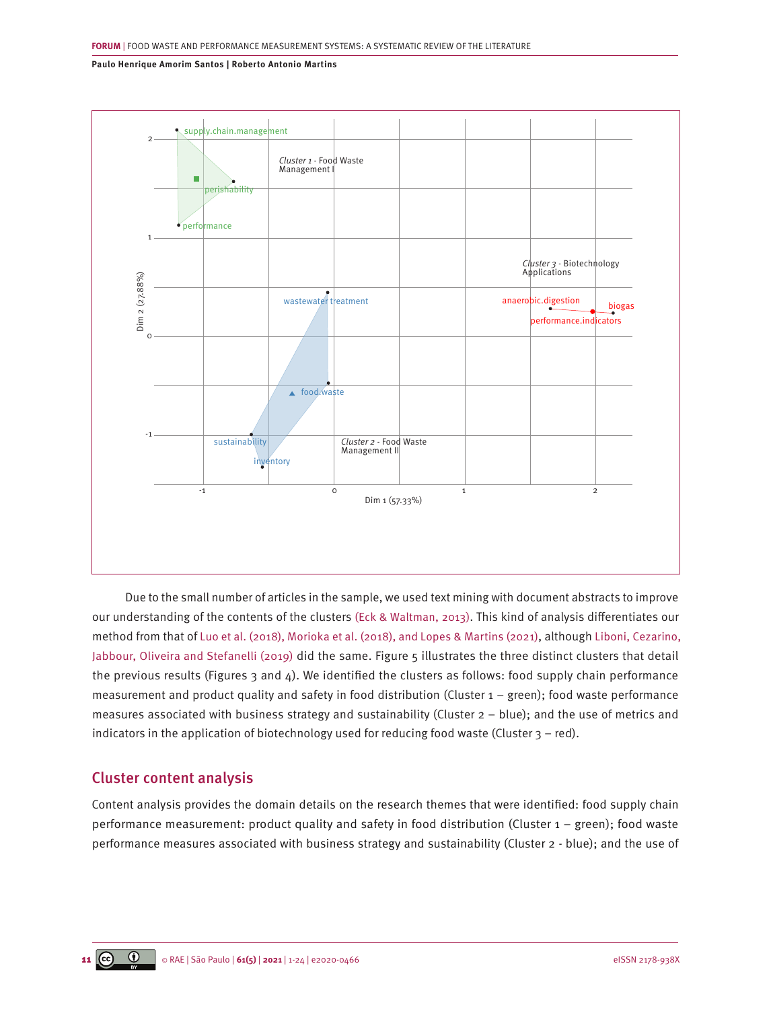

Due to the small number of articles in the sample, we used text mining with document abstracts to improve our understanding of the contents of the clusters [\(Eck & Waltman, 2013\).](#page-19-0) This kind of analysis differentiates our method from that of [Luo et al. \(2018\), Morioka et al. \(2018\), and Lopes & Martins \(2021\),](#page-21-0) although [Liboni, Cezarino,](#page-21-0) [Jabbour, Oliveira and Stefanelli \(2019\)](#page-21-0) did the same. Figure 5 illustrates the three distinct clusters that detail the previous results (Figures 3 and 4). We identified the clusters as follows: food supply chain performance measurement and product quality and safety in food distribution (Cluster 1 – green); food waste performance measures associated with business strategy and sustainability (Cluster 2 – blue); and the use of metrics and indicators in the application of biotechnology used for reducing food waste (Cluster  $3 -$  red).

# Cluster content analysis

Content analysis provides the domain details on the research themes that were identified: food supply chain performance measurement: product quality and safety in food distribution (Cluster 1 – green); food waste performance measures associated with business strategy and sustainability (Cluster 2 - blue); and the use of

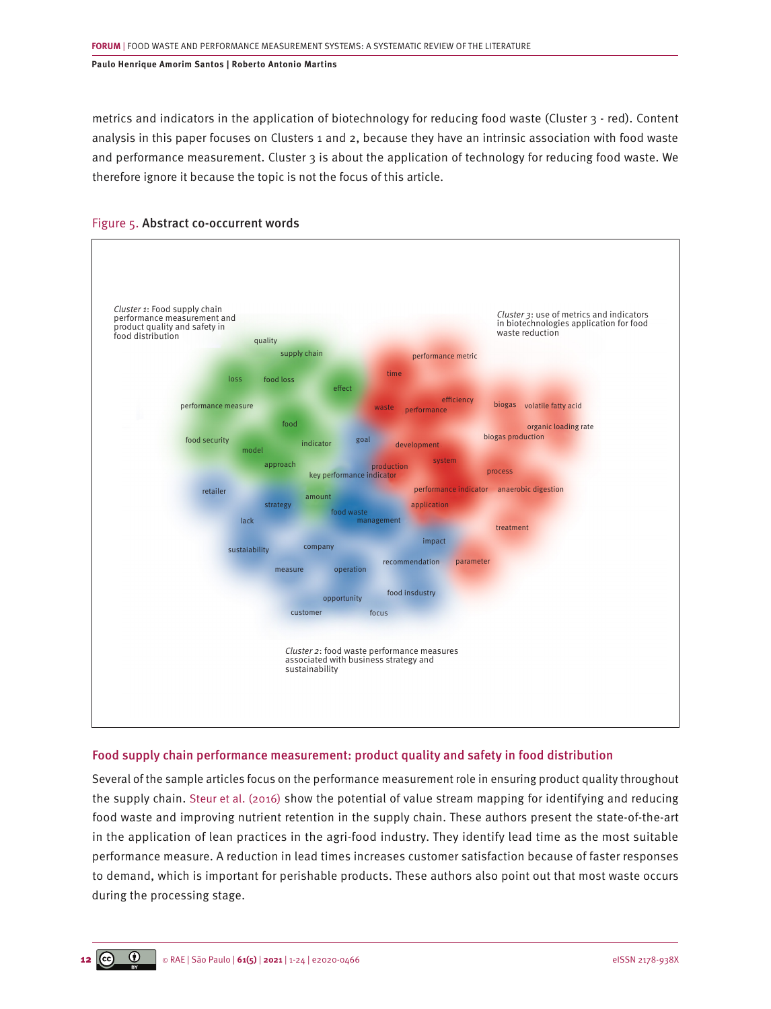metrics and indicators in the application of biotechnology for reducing food waste (Cluster 3 - red). Content analysis in this paper focuses on Clusters 1 and 2, because they have an intrinsic association with food waste and performance measurement. Cluster 3 is about the application of technology for reducing food waste. We therefore ignore it because the topic is not the focus of this article.



## Figure 5. Abstract co-occurrent words

## Food supply chain performance measurement: product quality and safety in food distribution

Several of the sample articles focus on the performance measurement role in ensuring product quality throughout the supply chain. [Steur et al. \(2016\)](#page-22-0) show the potential of value stream mapping for identifying and reducing food waste and improving nutrient retention in the supply chain. These authors present the state-of-the-art in the application of lean practices in the agri-food industry. They identify lead time as the most suitable performance measure. A reduction in lead times increases customer satisfaction because of faster responses to demand, which is important for perishable products. These authors also point out that most waste occurs during the processing stage.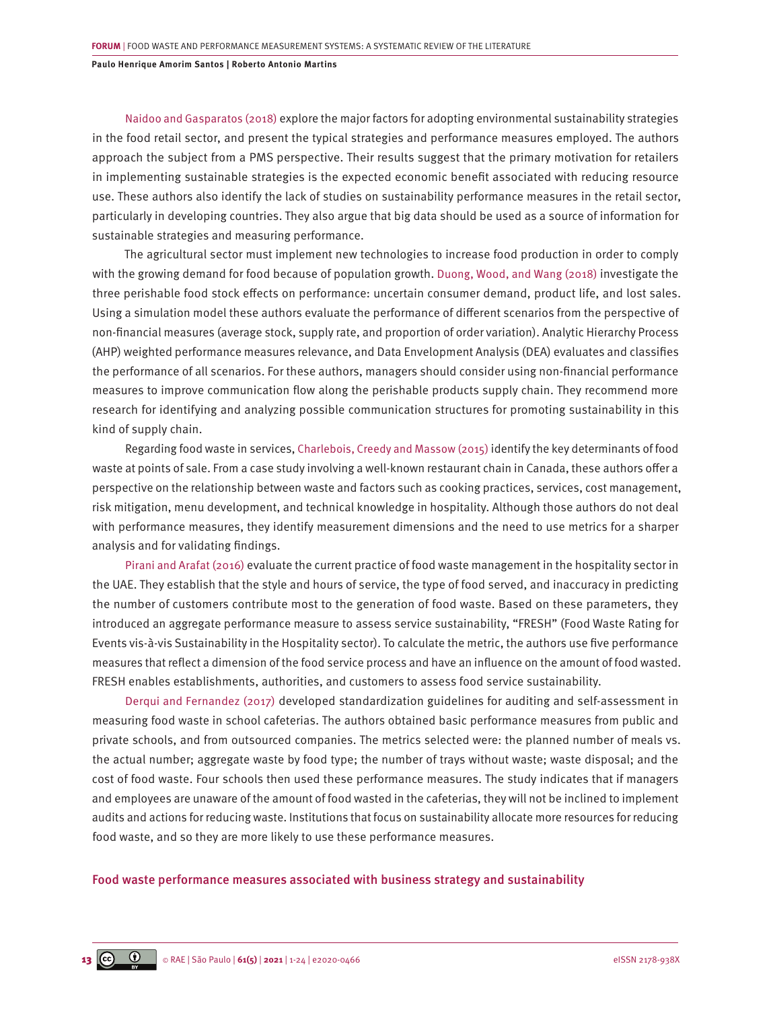[Naidoo and Gasparatos \(2018\)](#page-21-0) explore the major factors for adopting environmental sustainability strategies in the food retail sector, and present the typical strategies and performance measures employed. The authors approach the subject from a PMS perspective. Their results suggest that the primary motivation for retailers in implementing sustainable strategies is the expected economic benefit associated with reducing resource use. These authors also identify the lack of studies on sustainability performance measures in the retail sector, particularly in developing countries. They also argue that big data should be used as a source of information for sustainable strategies and measuring performance.

The agricultural sector must implement new technologies to increase food production in order to comply with the growing demand for food because of population growth. [Duong, Wood, and Wang \(2018\)](#page-20-0) investigate the three perishable food stock effects on performance: uncertain consumer demand, product life, and lost sales. Using a simulation model these authors evaluate the performance of different scenarios from the perspective of non-financial measures (average stock, supply rate, and proportion of order variation). Analytic Hierarchy Process (AHP) weighted performance measures relevance, and Data Envelopment Analysis (DEA) evaluates and classifies the performance of all scenarios. For these authors, managers should consider using non-financial performance measures to improve communication flow along the perishable products supply chain. They recommend more research for identifying and analyzing possible communication structures for promoting sustainability in this kind of supply chain.

Regarding food waste in services, [Charlebois, Creedy and Massow \(2015\)](#page-19-0) identify the key determinants of food waste at points of sale. From a case study involving a well-known restaurant chain in Canada, these authors offer a perspective on the relationship between waste and factors such as cooking practices, services, cost management, risk mitigation, menu development, and technical knowledge in hospitality. Although those authors do not deal with performance measures, they identify measurement dimensions and the need to use metrics for a sharper analysis and for validating findings.

[Pirani and Arafat \(2016\)](#page-22-0) evaluate the current practice of food waste management in the hospitality sector in the UAE. They establish that the style and hours of service, the type of food served, and inaccuracy in predicting the number of customers contribute most to the generation of food waste. Based on these parameters, they introduced an aggregate performance measure to assess service sustainability, "FRESH" (Food Waste Rating for Events vis-à-vis Sustainability in the Hospitality sector). To calculate the metric, the authors use five performance measures that reflect a dimension of the food service process and have an influence on the amount of food wasted. FRESH enables establishments, authorities, and customers to assess food service sustainability.

[Derqui and Fernandez \(2017\)](#page-19-0) developed standardization guidelines for auditing and self-assessment in measuring food waste in school cafeterias. The authors obtained basic performance measures from public and private schools, and from outsourced companies. The metrics selected were: the planned number of meals vs. the actual number; aggregate waste by food type; the number of trays without waste; waste disposal; and the cost of food waste. Four schools then used these performance measures. The study indicates that if managers and employees are unaware of the amount of food wasted in the cafeterias, they will not be inclined to implement audits and actions for reducing waste. Institutions that focus on sustainability allocate more resources for reducing food waste, and so they are more likely to use these performance measures.

#### Food waste performance measures associated with business strategy and sustainability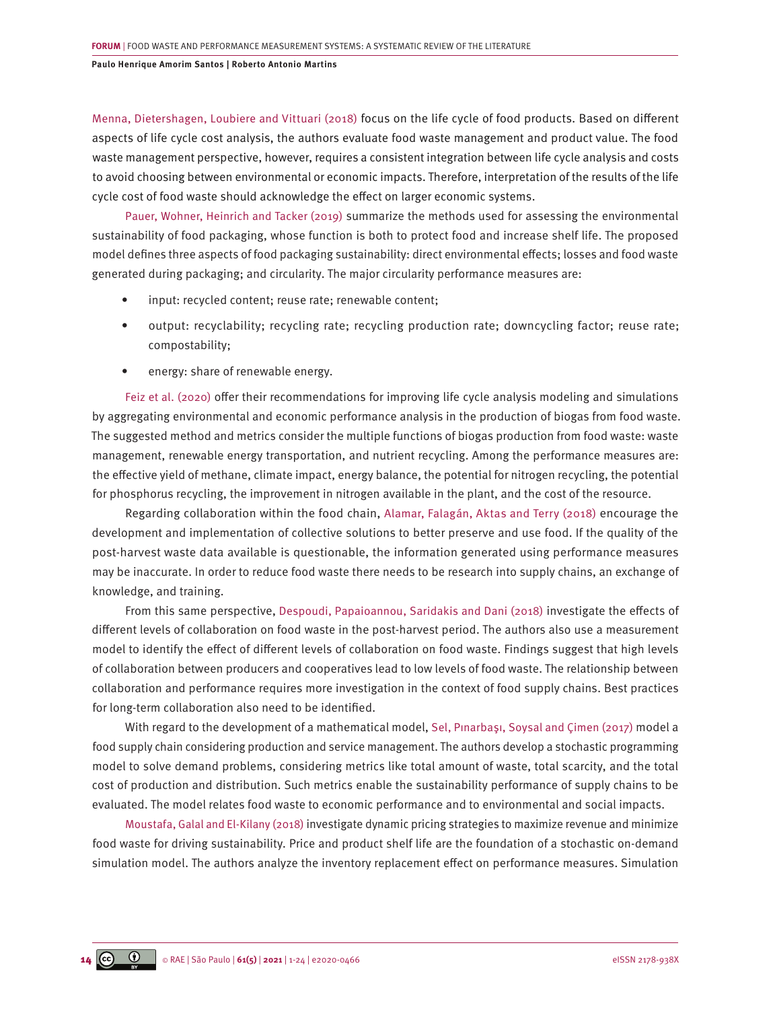[Menna, Dietershagen, Loubiere and Vittuari \(2018\)](#page-21-0) focus on the life cycle of food products. Based on different aspects of life cycle cost analysis, the authors evaluate food waste management and product value. The food waste management perspective, however, requires a consistent integration between life cycle analysis and costs to avoid choosing between environmental or economic impacts. Therefore, interpretation of the results of the life cycle cost of food waste should acknowledge the effect on larger economic systems.

[Pauer, Wohner, Heinrich and Tacker \(2019\)](#page-22-0) summarize the methods used for assessing the environmental sustainability of food packaging, whose function is both to protect food and increase shelf life. The proposed model defines three aspects of food packaging sustainability: direct environmental effects; losses and food waste generated during packaging; and circularity. The major circularity performance measures are:

- input: recycled content; reuse rate; renewable content;
- output: recyclability; recycling rate; recycling production rate; downcycling factor; reuse rate; compostability;
- energy: share of renewable energy.

[Feiz et al. \(2020\)](#page-20-0) offer their recommendations for improving life cycle analysis modeling and simulations by aggregating environmental and economic performance analysis in the production of biogas from food waste. The suggested method and metrics consider the multiple functions of biogas production from food waste: waste management, renewable energy transportation, and nutrient recycling. Among the performance measures are: the effective yield of methane, climate impact, energy balance, the potential for nitrogen recycling, the potential for phosphorus recycling, the improvement in nitrogen available in the plant, and the cost of the resource.

Regarding collaboration within the food chain, [Alamar, Falagán, Aktas and Terry \(2018\)](#page-18-0) encourage the development and implementation of collective solutions to better preserve and use food. If the quality of the post-harvest waste data available is questionable, the information generated using performance measures may be inaccurate. In order to reduce food waste there needs to be research into supply chains, an exchange of knowledge, and training.

From this same perspective[, Despoudi, Papaioannou, Saridakis and Dani \(2018\)](#page-19-0) investigate the effects of different levels of collaboration on food waste in the post-harvest period. The authors also use a measurement model to identify the effect of different levels of collaboration on food waste. Findings suggest that high levels of collaboration between producers and cooperatives lead to low levels of food waste. The relationship between collaboration and performance requires more investigation in the context of food supply chains. Best practices for long-term collaboration also need to be identified.

With regard to the development of a mathematical model, [Sel, Pınarbaşı, Soysal and Çimen \(2017\)](#page-22-0) model a food supply chain considering production and service management. The authors develop a stochastic programming model to solve demand problems, considering metrics like total amount of waste, total scarcity, and the total cost of production and distribution. Such metrics enable the sustainability performance of supply chains to be evaluated. The model relates food waste to economic performance and to environmental and social impacts.

[Moustafa, Galal and El-Kilany \(2018\)](#page-21-0) investigate dynamic pricing strategies to maximize revenue and minimize food waste for driving sustainability. Price and product shelf life are the foundation of a stochastic on-demand simulation model. The authors analyze the inventory replacement effect on performance measures. Simulation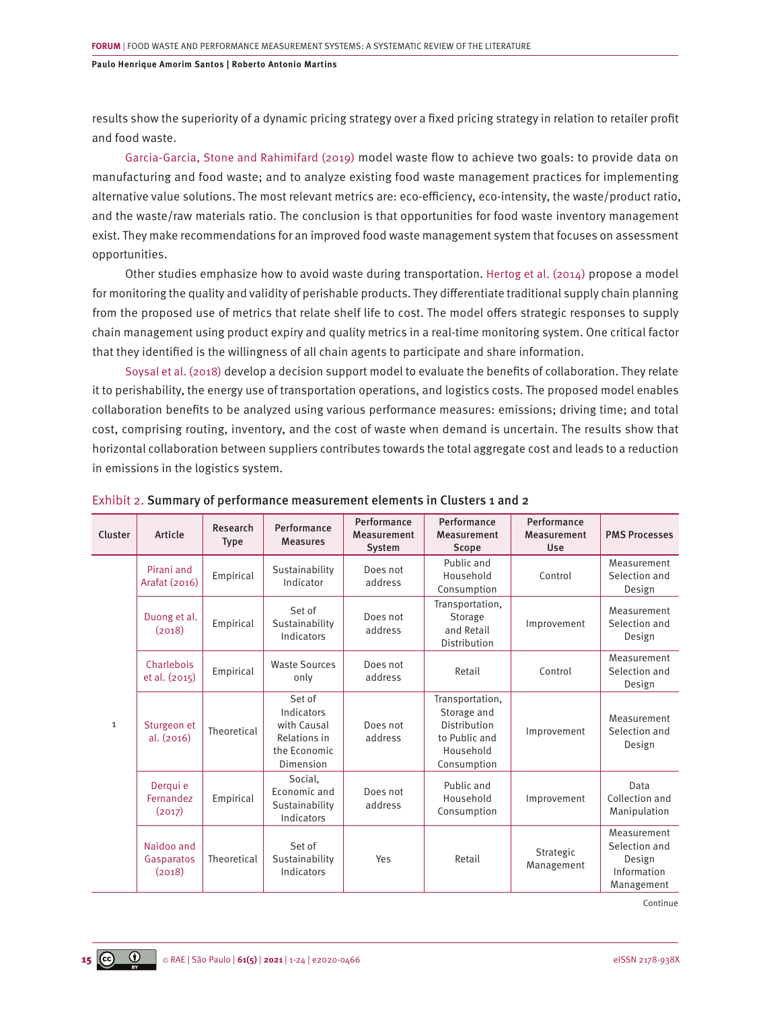results show the superiority of a dynamic pricing strategy over a fixed pricing strategy in relation to retailer profit and food waste.

[Garcia-Garcia, Stone and Rahimifard \(2019\)](#page-20-0) model waste flow to achieve two goals: to provide data on manufacturing and food waste; and to analyze existing food waste management practices for implementing alternative value solutions. The most relevant metrics are: eco-efficiency, eco-intensity, the waste/product ratio, and the waste/raw materials ratio. The conclusion is that opportunities for food waste inventory management exist. They make recommendations for an improved food waste management system that focuses on assessment opportunities.

Other studies emphasize how to avoid waste during transportation[. Hertog et al. \(2014\)](#page-20-0) propose a model for monitoring the quality and validity of perishable products. They differentiate traditional supply chain planning from the proposed use of metrics that relate shelf life to cost. The model offers strategic responses to supply chain management using product expiry and quality metrics in a real-time monitoring system. One critical factor that they identified is the willingness of all chain agents to participate and share information.

[Soysal et al. \(2018\)](#page-22-0) develop a decision support model to evaluate the benefits of collaboration. They relate it to perishability, the energy use of transportation operations, and logistics costs. The proposed model enables collaboration benefits to be analyzed using various performance measures: emissions; driving time; and total cost, comprising routing, inventory, and the cost of waste when demand is uncertain. The results show that horizontal collaboration between suppliers contributes towards the total aggregate cost and leads to a reduction in emissions in the logistics system.

| Cluster      | Article                            | Research<br><b>Type</b> | Performance<br><b>Measures</b>                                                   | Performance<br>Measurement<br>System | Performance<br>Measurement<br>Scope                                                         | Performance<br>Measurement<br>Use | <b>PMS Processes</b>                                                |
|--------------|------------------------------------|-------------------------|----------------------------------------------------------------------------------|--------------------------------------|---------------------------------------------------------------------------------------------|-----------------------------------|---------------------------------------------------------------------|
| $\mathbf{1}$ | Pirani and<br>Arafat (2016)        | Empirical               | Sustainability<br>Indicator                                                      | Does not<br>address                  | Public and<br>Household<br>Consumption                                                      | Control                           | Measurement<br>Selection and<br>Design                              |
|              | Duong et al.<br>(2018)             | Empirical               | Set of<br>Sustainability<br>Indicators                                           | Does not<br>address                  | Transportation,<br>Storage<br>and Retail<br>Distribution                                    | Improvement                       |                                                                     |
|              | Charlebois<br>et al. (2015)        | Empirical               | <b>Waste Sources</b><br>only                                                     | Does not<br>address                  | Control<br>Retail                                                                           |                                   | Measurement<br>Selection and<br>Design                              |
|              | Sturgeon et<br>al. (2016)          | Theoretical             | Set of<br>Indicators<br>with Causal<br>Relations in<br>the Economic<br>Dimension | Does not<br>address                  | Transportation,<br>Storage and<br>Distribution<br>to Public and<br>Household<br>Consumption | Improvement                       | Measurement<br>Selection and<br>Design                              |
|              | Dergui e<br>Fernandez<br>(2017)    | Empirical               | Social,<br>Economic and<br>Sustainability<br>Indicators                          | Does not<br>address                  | Public and<br>Household<br>Consumption                                                      | Improvement                       | Data<br>Collection and<br>Manipulation                              |
|              | Naidoo and<br>Gasparatos<br>(2018) | Theoretical             | Set of<br>Sustainability<br>Indicators                                           | Yes                                  | Retail                                                                                      | Strategic<br>Management           | Measurement<br>Selection and<br>Design<br>Information<br>Management |

Continue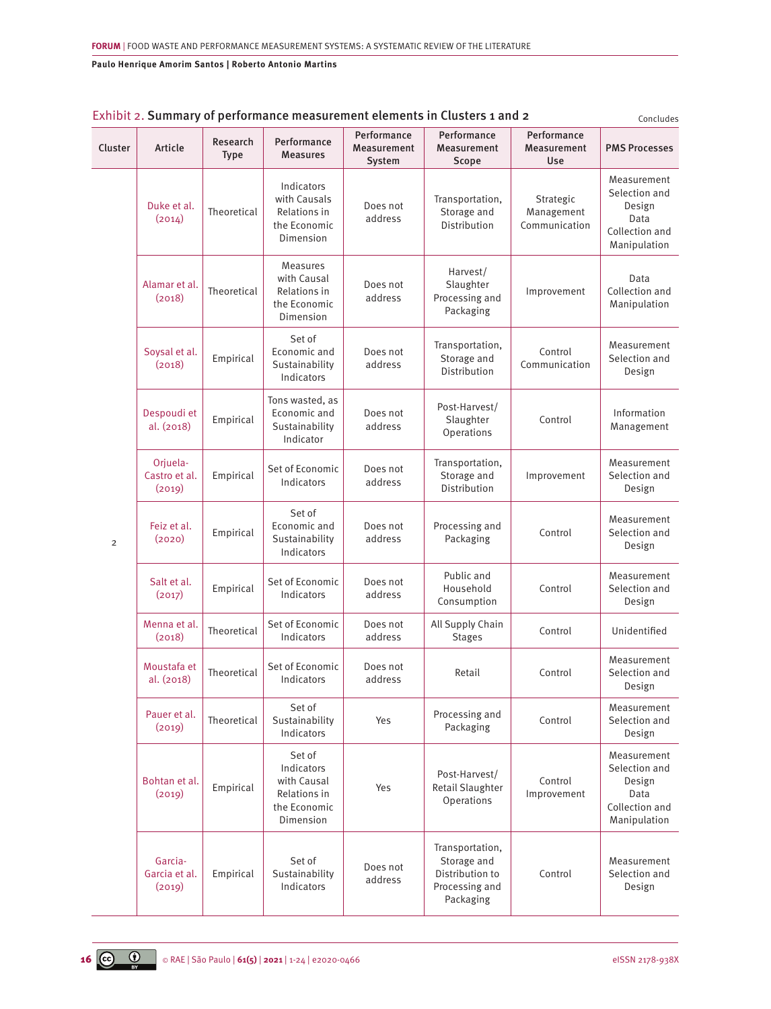| Cluster        | Article                             | Research<br><b>Type</b> | Performance<br><b>Measures</b>                                                   | Performance<br>Measurement<br>System | Performance<br>Measurement<br>Scope                                              | Performance<br>Measurement<br><b>Use</b> | Concidues<br><b>PMS Processes</b>                                                |
|----------------|-------------------------------------|-------------------------|----------------------------------------------------------------------------------|--------------------------------------|----------------------------------------------------------------------------------|------------------------------------------|----------------------------------------------------------------------------------|
| $\overline{2}$ | Duke et al.<br>(2014)               | Theoretical             | Indicators<br>with Causals<br>Relations in<br>the Economic<br>Dimension          | Does not<br>address                  | Transportation,<br>Storage and<br>Distribution                                   | Strategic<br>Management<br>Communication | Measurement<br>Selection and<br>Design<br>Data<br>Collection and<br>Manipulation |
|                | Alamar et al.<br>(2018)             | Theoretical             | <b>Measures</b><br>with Causal<br>Relations in<br>the Economic<br>Dimension      | Does not<br>address                  | Harvest/<br>Slaughter<br>Processing and<br>Packaging                             | Improvement                              | Data<br>Collection and<br>Manipulation                                           |
|                | Soysal et al.<br>(2018)             | Empirical               | Set of<br>Economic and<br>Sustainability<br>Indicators                           | Does not<br>address                  | Transportation,<br>Storage and<br>Distribution                                   | Control<br>Communication                 | Measurement<br>Selection and<br>Design                                           |
|                | Despoudi et<br>al. (2018)           | Empirical               | Tons wasted, as<br>Economic and<br>Sustainability<br>Indicator                   | Does not<br>address                  | Post-Harvest/<br>Slaughter<br>Operations                                         | Control                                  | Information<br>Management                                                        |
|                | Orjuela-<br>Castro et al.<br>(2019) | Empirical               | Set of Economic<br>Indicators                                                    | Does not<br>address                  | Transportation,<br>Storage and<br>Distribution                                   | Improvement                              | Measurement<br>Selection and<br>Design                                           |
|                | Feiz et al.<br>(2020)               | Empirical               | Set of<br>Economic and<br>Sustainability<br>Indicators                           | Does not<br>address                  | Processing and<br>Packaging                                                      | Control                                  | Measurement<br>Selection and<br>Design                                           |
|                | Salt et al.<br>(2017)               | Empirical               | Set of Economic<br>Indicators                                                    | Does not<br>address                  | Public and<br>Household<br>Consumption                                           | Control                                  | Measurement<br>Selection and<br>Design                                           |
|                | Menna et al.<br>(2018)              | Theoretical             | Set of Economic<br>Indicators                                                    | Does not<br>address                  | All Supply Chain<br><b>Stages</b>                                                | Control                                  | Unidentified                                                                     |
|                | Moustafa et<br>al. (2018)           | Theoretical             | Set of Economic<br>Indicators                                                    | Does not<br>address                  | Retail                                                                           | Control                                  | Measurement<br>Selection and<br>Design                                           |
|                | Pauer et al.<br>(2019)              | Theoretical             | Set of<br>Sustainability<br>Indicators                                           | Yes                                  | Processing and<br>Packaging                                                      | Control                                  | Measurement<br>Selection and<br>Design                                           |
|                | Bohtan et al.<br>(2019)             | Empirical               | Set of<br>Indicators<br>with Causal<br>Relations in<br>the Economic<br>Dimension | Yes                                  | Post-Harvest/<br>Retail Slaughter<br>Operations                                  | Control<br>Improvement                   | Measurement<br>Selection and<br>Design<br>Data<br>Collection and<br>Manipulation |
|                | Garcia-<br>Garcia et al.<br>(2019)  | Empirical               | Set of<br>Sustainability<br>Indicators                                           | Does not<br>address                  | Transportation,<br>Storage and<br>Distribution to<br>Processing and<br>Packaging | Control                                  | Measurement<br>Selection and<br>Design                                           |

# Exhibit 2. Summary of performance measurement elements in Clusters 1 and 2  $_{\text{Concludes}}$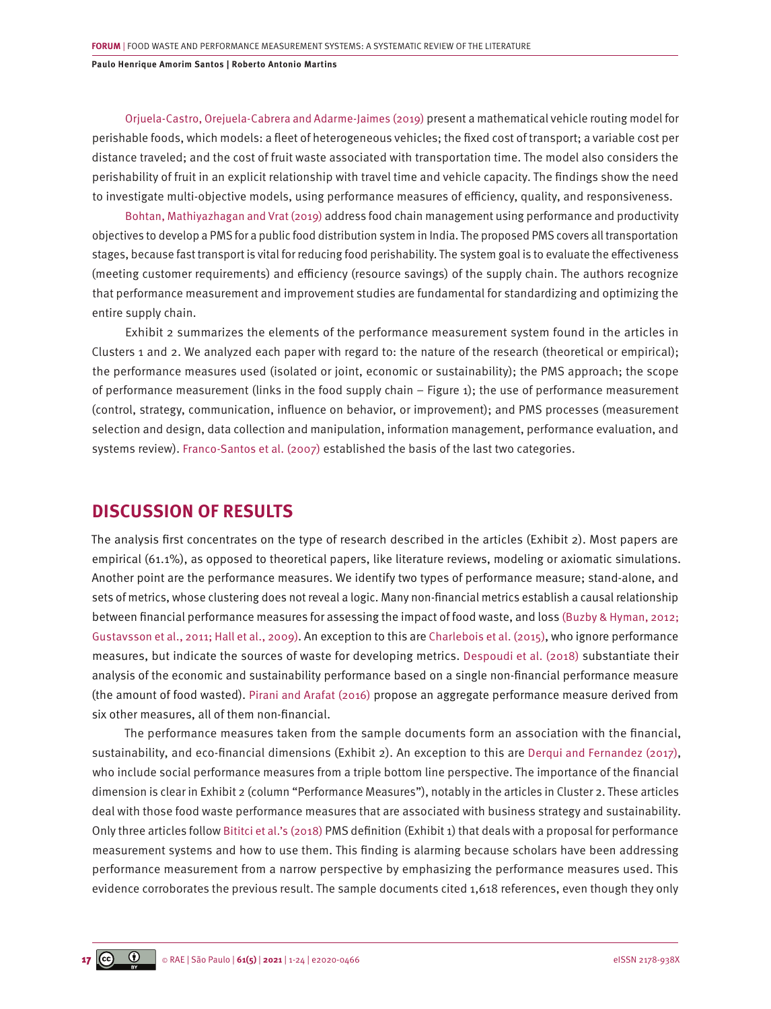[Orjuela-Castro, Orejuela-Cabrera and Adarme-Jaimes \(2019\)](#page-22-0) present a mathematical vehicle routing model for perishable foods, which models: a fleet of heterogeneous vehicles; the fixed cost of transport; a variable cost per distance traveled; and the cost of fruit waste associated with transportation time. The model also considers the perishability of fruit in an explicit relationship with travel time and vehicle capacity. The findings show the need to investigate multi-objective models, using performance measures of efficiency, quality, and responsiveness.

[Bohtan, Mathiyazhagan and Vrat \(2019\)](#page-19-0) address food chain management using performance and productivity objectives to develop a PMS for a public food distribution system in India. The proposed PMS covers all transportation stages, because fast transport is vital for reducing food perishability. The system goal is to evaluate the effectiveness (meeting customer requirements) and efficiency (resource savings) of the supply chain. The authors recognize that performance measurement and improvement studies are fundamental for standardizing and optimizing the entire supply chain.

Exhibit 2 summarizes the elements of the performance measurement system found in the articles in Clusters 1 and 2. We analyzed each paper with regard to: the nature of the research (theoretical or empirical); the performance measures used (isolated or joint, economic or sustainability); the PMS approach; the scope of performance measurement (links in the food supply chain – Figure 1); the use of performance measurement (control, strategy, communication, influence on behavior, or improvement); and PMS processes (measurement selection and design, data collection and manipulation, information management, performance evaluation, and systems review). [Franco-Santos et al. \(2007\)](#page-20-0) established the basis of the last two categories.

# **DISCUSSION OF RESULTS**

The analysis first concentrates on the type of research described in the articles (Exhibit 2). Most papers are empirical (61.1%), as opposed to theoretical papers, like literature reviews, modeling or axiomatic simulations. Another point are the performance measures. We identify two types of performance measure; stand-alone, and sets of metrics, whose clustering does not reveal a logic. Many non-financial metrics establish a causal relationship between financial performance measures for assessing the impact of food waste, and loss [\(Buzby & Hyman, 2012;](#page-19-0)  [Gustavsson et al., 2011; Hall et al., 2009\)](#page-19-0). An exception to this are [Charlebois et al. \(2015\)](#page-19-0), who ignore performance measures, but indicate the sources of waste for developing metrics. [Despoudi et al. \(2018\)](#page-19-0) substantiate their analysis of the economic and sustainability performance based on a single non-financial performance measure (the amount of food wasted). [Pirani and Arafat \(2016\)](#page-22-0) propose an aggregate performance measure derived from six other measures, all of them non-financial.

The performance measures taken from the sample documents form an association with the financial, sustainability, and eco-financial dimensions (Exhibit 2). An exception to this are [Derqui and Fernandez \(2017\)](#page-19-0), who include social performance measures from a triple bottom line perspective. The importance of the financial dimension is clear in Exhibit 2 (column "Performance Measures"), notably in the articles in Cluster 2. These articles deal with those food waste performance measures that are associated with business strategy and sustainability. Only three articles follow [Bititci et al.'s \(2018\)](#page-18-0) PMS definition (Exhibit 1) that deals with a proposal for performance measurement systems and how to use them. This finding is alarming because scholars have been addressing performance measurement from a narrow perspective by emphasizing the performance measures used. This evidence corroborates the previous result. The sample documents cited 1,618 references, even though they only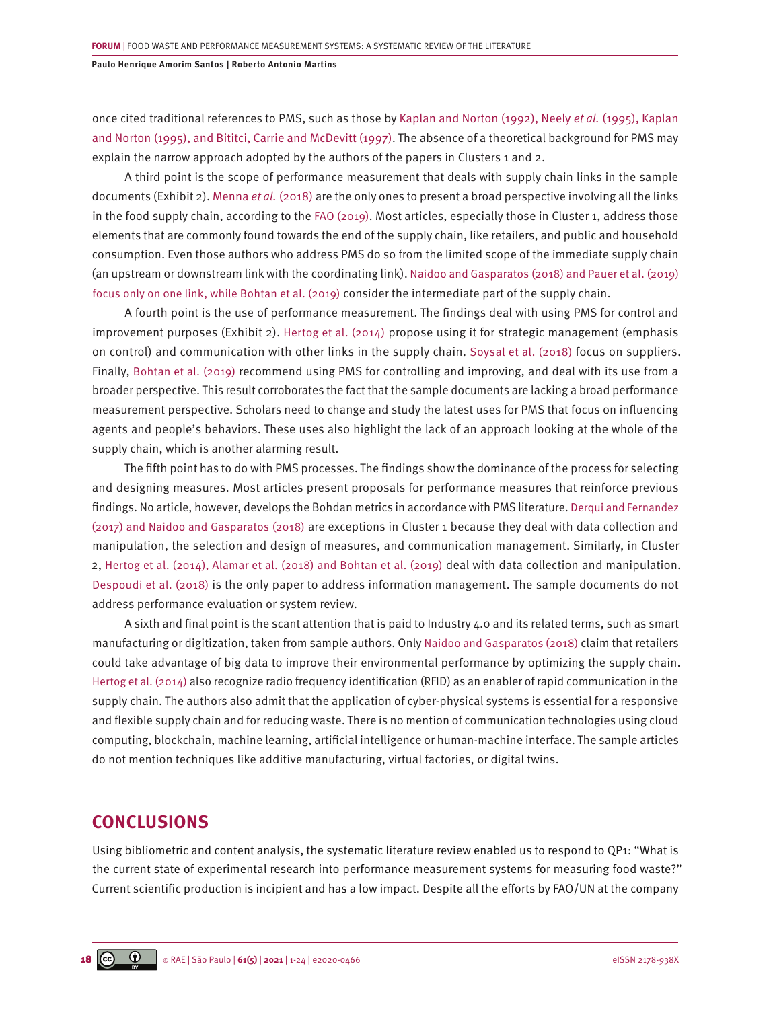once cited traditional references to PMS, such as those by Kaplan and Norton (1992), Neely *et al.* (1995), Kaplan and Norton (1995), and Bititci, Carrie and McDevitt (1997). The absence of a theoretical background for PMS may explain the narrow approach adopted by the authors of the papers in Clusters 1 and 2.

A third point is the scope of performance measurement that deals with supply chain links in the sample documents (Exhibit 2). [Menna](#page-21-0) *et al.* (2018) are the only ones to present a broad perspective involving all the links in the food supply chain, according to the [FAO \(2019\)](#page-20-0). Most articles, especially those in Cluster 1, address those elements that are commonly found towards the end of the supply chain, like retailers, and public and household consumption. Even those authors who address PMS do so from the limited scope of the immediate supply chain (an upstream or downstream link with the coordinating link). [Naidoo and Gasparatos \(2018\)](#page-21-0) [and Pauer et al. \(2019\)](#page-22-0) [focus only on one link, while Bohtan et al. \(2019\)](#page-22-0) consider the intermediate part of the supply chain.

A fourth point is the use of performance measurement. The findings deal with using PMS for control and improvement purposes (Exhibit 2). [Hertog et al. \(2014\)](#page-20-0) propose using it for strategic management (emphasis on control) and communication with other links in the supply chain. [Soysal et al. \(2018\)](#page-22-0) focus on suppliers. Finally, [Bohtan et al. \(2019\)](#page-19-0) recommend using PMS for controlling and improving, and deal with its use from a broader perspective. This result corroborates the fact that the sample documents are lacking a broad performance measurement perspective. Scholars need to change and study the latest uses for PMS that focus on influencing agents and people's behaviors. These uses also highlight the lack of an approach looking at the whole of the supply chain, which is another alarming result.

The fifth point has to do with PMS processes. The findings show the dominance of the process for selecting and designing measures. Most articles present proposals for performance measures that reinforce previous findings. No article, however, develops the Bohdan metrics in accordance with PMS literature. [Derqui and Fernandez](#page-19-0) [\(2017\) and Naidoo and Gasparatos \(2018\)](#page-19-0) are exceptions in Cluster 1 because they deal with data collection and manipulation, the selection and design of measures, and communication management. Similarly, in Cluster 2, [Hertog et al. \(2014\), Alamar et al. \(2018\) and Bohtan et al. \(2019\)](#page-20-0) deal with data collection and manipulation. [Despoudi et al. \(2018\)](#page-19-0) is the only paper to address information management. The sample documents do not address performance evaluation or system review.

A sixth and final point is the scant attention that is paid to Industry 4.0 and its related terms, such as smart manufacturing or digitization, taken from sample authors. Only [Naidoo and Gasparatos \(2018\)](#page-21-0) claim that retailers could take advantage of big data to improve their environmental performance by optimizing the supply chain. [Hertog et al. \(2014\)](#page-20-0) also recognize radio frequency identification (RFID) as an enabler of rapid communication in the supply chain. The authors also admit that the application of cyber-physical systems is essential for a responsive and flexible supply chain and for reducing waste. There is no mention of communication technologies using cloud computing, blockchain, machine learning, artificial intelligence or human-machine interface. The sample articles do not mention techniques like additive manufacturing, virtual factories, or digital twins.

# **CONCLUSIONS**

Using bibliometric and content analysis, the systematic literature review enabled us to respond to QP1: "What is the current state of experimental research into performance measurement systems for measuring food waste?" Current scientific production is incipient and has a low impact. Despite all the efforts by FAO/UN at the company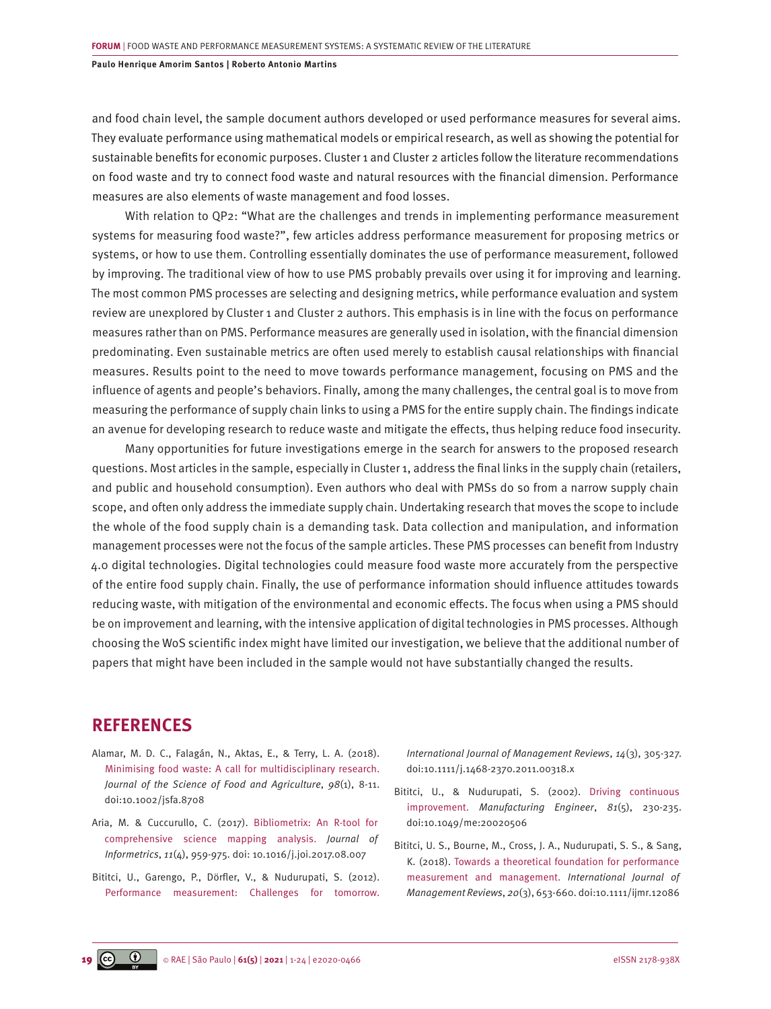<span id="page-18-0"></span>and food chain level, the sample document authors developed or used performance measures for several aims. They evaluate performance using mathematical models or empirical research, as well as showing the potential for sustainable benefits for economic purposes. Cluster 1 and Cluster 2 articles follow the literature recommendations on food waste and try to connect food waste and natural resources with the financial dimension. Performance measures are also elements of waste management and food losses.

With relation to QP2: "What are the challenges and trends in implementing performance measurement systems for measuring food waste?", few articles address performance measurement for proposing metrics or systems, or how to use them. Controlling essentially dominates the use of performance measurement, followed by improving. The traditional view of how to use PMS probably prevails over using it for improving and learning. The most common PMS processes are selecting and designing metrics, while performance evaluation and system review are unexplored by Cluster 1 and Cluster 2 authors. This emphasis is in line with the focus on performance measures rather than on PMS. Performance measures are generally used in isolation, with the financial dimension predominating. Even sustainable metrics are often used merely to establish causal relationships with financial measures. Results point to the need to move towards performance management, focusing on PMS and the influence of agents and people's behaviors. Finally, among the many challenges, the central goal is to move from measuring the performance of supply chain links to using a PMS for the entire supply chain. The findings indicate an avenue for developing research to reduce waste and mitigate the effects, thus helping reduce food insecurity.

Many opportunities for future investigations emerge in the search for answers to the proposed research questions. Most articles in the sample, especially in Cluster 1, address the final links in the supply chain (retailers, and public and household consumption). Even authors who deal with PMSs do so from a narrow supply chain scope, and often only address the immediate supply chain. Undertaking research that moves the scope to include the whole of the food supply chain is a demanding task. Data collection and manipulation, and information management processes were not the focus of the sample articles. These PMS processes can benefit from Industry 4.0 digital technologies. Digital technologies could measure food waste more accurately from the perspective of the entire food supply chain. Finally, the use of performance information should influence attitudes towards reducing waste, with mitigation of the environmental and economic effects. The focus when using a PMS should be on improvement and learning, with the intensive application of digital technologies in PMS processes. Although choosing the WoS scientific index might have limited our investigation, we believe that the additional number of papers that might have been included in the sample would not have substantially changed the results.

# **REFERENCES**

- [Alamar, M. D. C., Falagán, N., Aktas, E., & Terry, L. A. \(2018\).](https://onlinelibrary.wiley.com/doi/full/10.1002/jsfa.8708) [Minimising food waste: A call for multidisciplinary research.](https://onlinelibrary.wiley.com/doi/full/10.1002/jsfa.8708) *[Journal of the Science of Food and Agriculture](https://onlinelibrary.wiley.com/doi/full/10.1002/jsfa.8708)*, *98*(1), 8-11. [doi:10.1002/jsfa.8708](https://onlinelibrary.wiley.com/doi/full/10.1002/jsfa.8708)
- [Aria, M. & Cuccurullo, C. \(2017\). Bibliometrix: An R-tool for](https://www.sciencedirect.com/science/article/abs/pii/S1751157717300500)  [comprehensive science mapping analysis.](https://www.sciencedirect.com/science/article/abs/pii/S1751157717300500) *Journal of Informetrics*, *11*[\(4\), 959-975. doi: 10.1016/j.joi.2017.08.007](https://www.sciencedirect.com/science/article/abs/pii/S1751157717300500)
- [Bititci, U., Garengo, P., Dörfler, V., & Nudurupati, S. \(2012\).](ttps://pureportal.strath.ac.uk/en/publications/performance-measurement-challenges-for-tomorrow) [Performance measurement: Challenges for tomorrow.](ttps://pureportal.strath.ac.uk/en/publications/performance-measurement-challenges-for-tomorrow)

*[International Journal of Management Reviews](ttps://pureportal.strath.ac.uk/en/publications/performance-measurement-challenges-for-tomorrow)*, *14*(3), 305-327. [doi:10.1111/j.1468-2370.2011.00318.x](ttps://pureportal.strath.ac.uk/en/publications/performance-measurement-challenges-for-tomorrow)

- [Bititci, U., & Nudurupati, S. \(2002\). Driving continuous](https://core.ac.uk/download/pdf/110653066.pdf)  improvement. *[Manufacturing Engineer](https://core.ac.uk/download/pdf/110653066.pdf)*, *81*(5), 230-235. [doi:10.1049/me:20020506](https://core.ac.uk/download/pdf/110653066.pdf)
- [Bititci, U. S., Bourne, M., Cross, J. A., Nudurupati, S. S., & Sang,](https://researchportal.hw.ac.uk/en/publications/editorial-towards-a-theoretical-foundation-for-performance-measur)  [K. \(2018\). Towards a theoretical foundation for performance](https://researchportal.hw.ac.uk/en/publications/editorial-towards-a-theoretical-foundation-for-performance-measur)  [measurement and management.](https://researchportal.hw.ac.uk/en/publications/editorial-towards-a-theoretical-foundation-for-performance-measur) *International Journal of Management Reviews*, *20*[\(3\), 653-660. doi:10.1111/ijmr.12086](https://researchportal.hw.ac.uk/en/publications/editorial-towards-a-theoretical-foundation-for-performance-measur)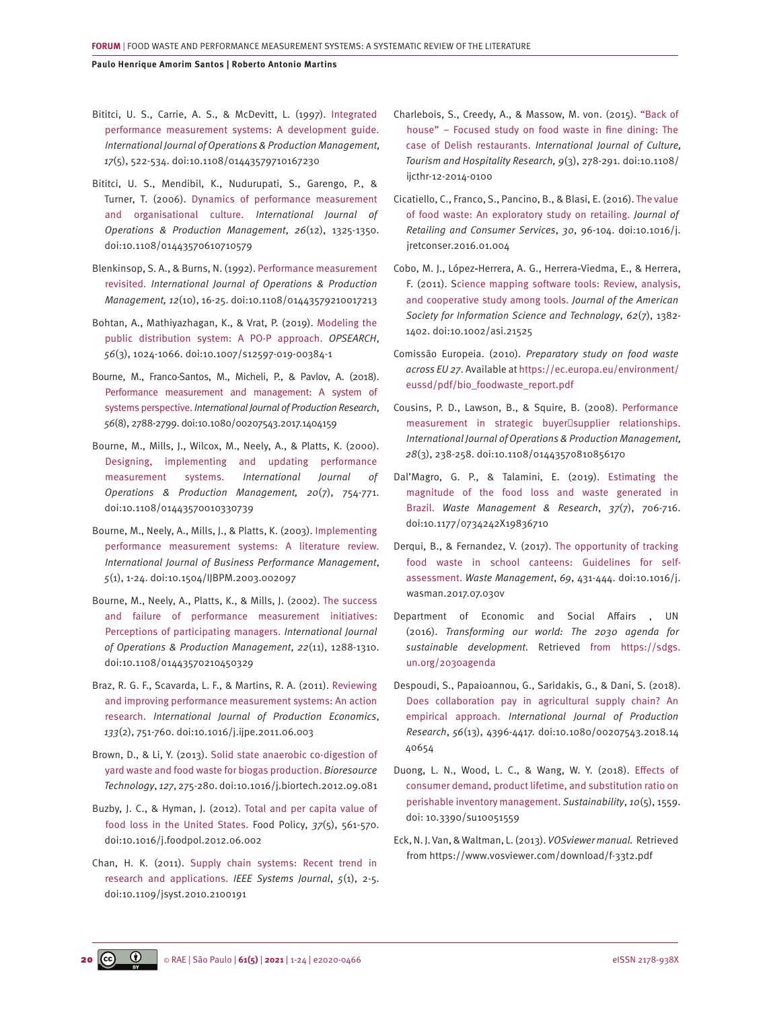- <span id="page-19-0"></span>[Bititci, U. S., Carrie, A. S., & McDevitt, L. \(1997\). Integrated](https://www.emerald.com/insight/content/doi/10.1108/01443579710167230/full/html)  [performance measurement systems: A development guide.](https://www.emerald.com/insight/content/doi/10.1108/01443579710167230/full/html) *[International Journal of Operations & Production Management,](https://www.emerald.com/insight/content/doi/10.1108/01443579710167230/full/html)  17*[\(5\), 522-534. doi:10.1108/01443579710167230](https://www.emerald.com/insight/content/doi/10.1108/01443579710167230/full/html)
- [Bititci, U. S., Mendibil, K., Nudurupati, S., Garengo, P., &](https://www.deepdyve.com/lp/emerald-publishing/dynamics-of-performance-measurement-and-organisational-culture-RKL3Y2Zhwl)  [Turner, T. \(2006\). Dynamics of performance measurement](https://www.deepdyve.com/lp/emerald-publishing/dynamics-of-performance-measurement-and-organisational-culture-RKL3Y2Zhwl)  [and organisational culture.](https://www.deepdyve.com/lp/emerald-publishing/dynamics-of-performance-measurement-and-organisational-culture-RKL3Y2Zhwl) *International Journal of [Operations & Production Management](https://www.deepdyve.com/lp/emerald-publishing/dynamics-of-performance-measurement-and-organisational-culture-RKL3Y2Zhwl)*, *26*(12), 1325-1350. [doi:10.1108/01443570610710579](https://www.deepdyve.com/lp/emerald-publishing/dynamics-of-performance-measurement-and-organisational-culture-RKL3Y2Zhwl)
- [Blenkinsop, S. A., & Burns, N. \(1992\). Performance measurement](https://www.emerald.com/insight/content/doi/10.1108/01443579210017213/full/html)  revisited. *[International Journal of Operations & Production](https://www.emerald.com/insight/content/doi/10.1108/01443579210017213/full/html)  Management, 12*[\(10\), 16-25. doi:10.1108/01443579210017213](https://www.emerald.com/insight/content/doi/10.1108/01443579210017213/full/html)
- [Bohtan, A., Mathiyazhagan, K., & Vrat, P. \(2019\). Modeling the](https://link.springer.com/article/10.1007/s12597-019-00384-1)  [public distribution system: A PO-P approach.](https://link.springer.com/article/10.1007/s12597-019-00384-1) *OPSEARCH*, *56*[\(3\), 1024-1066. doi:10.1007/s12597-019-00384-1](https://link.springer.com/article/10.1007/s12597-019-00384-1)
- [Bourne, M., Franco-Santos, M., Micheli, P., & Pavlov, A. \(2018\).](https://www.emerald.com/insight/content/doi/10.1108/IJOPM-11-2018-784/full/html) [Performance measurement and management: A system of](https://www.emerald.com/insight/content/doi/10.1108/IJOPM-11-2018-784/full/html)  systems perspective. *[International Journal of Production Research](https://www.emerald.com/insight/content/doi/10.1108/IJOPM-11-2018-784/full/html)*, *56*[\(8\), 2788-2799. doi:10.1080/00207543.2017.1404159](https://www.emerald.com/insight/content/doi/10.1108/IJOPM-11-2018-784/full/html)
- [Bourne, M., Mills, J., Wilcox, M., Neely, A., & Platts, K. \(2000\).](https://www.emerald.com/insight/content/doi/10.1108/01443570010330739/full/html) [Designing, implementing and updating performance](https://www.emerald.com/insight/content/doi/10.1108/01443570010330739/full/html)  measurement systems. *[International Journal of](https://www.emerald.com/insight/content/doi/10.1108/01443570010330739/full/html)  [Operations & Production Management, 20](https://www.emerald.com/insight/content/doi/10.1108/01443570010330739/full/html)*(7), 754-771. [doi:10.1108/01443570010330739](https://www.emerald.com/insight/content/doi/10.1108/01443570010330739/full/html)
- [Bourne, M., Neely, A., Mills, J., & Platts, K. \(2003\). Implementing](https://www.semanticscholar.org/paper/Implementing-performance-measurement-systems%3A-a-Bourne-Neely/2cda9e24709c1a75a6cb7d187030a5b1b82ccd40)  [performance measurement systems: A literature review.](https://www.semanticscholar.org/paper/Implementing-performance-measurement-systems%3A-a-Bourne-Neely/2cda9e24709c1a75a6cb7d187030a5b1b82ccd40) *[International Journal of Business Performance Management](https://www.semanticscholar.org/paper/Implementing-performance-measurement-systems%3A-a-Bourne-Neely/2cda9e24709c1a75a6cb7d187030a5b1b82ccd40)*, *5*(1), 1-24. [doi:10.1504/IJBPM.2003.002097](https://www.semanticscholar.org/paper/Implementing-performance-measurement-systems%3A-a-Bourne-Neely/2cda9e24709c1a75a6cb7d187030a5b1b82ccd40)
- [Bourne, M., Neely, A., Platts, K., & Mills, J. \(2002\). The success](https://www.emerald.com/insight/content/doi/10.1108/01443570210450329/full/html)  [and failure of performance measurement initiatives:](https://www.emerald.com/insight/content/doi/10.1108/01443570210450329/full/html)  [Perceptions of participating managers.](https://www.emerald.com/insight/content/doi/10.1108/01443570210450329/full/html) *International Journal [of Operations & Production Management](https://www.emerald.com/insight/content/doi/10.1108/01443570210450329/full/html)*, *22*(11), 1288-1310. [doi:10.1108/01443570210450329](https://www.emerald.com/insight/content/doi/10.1108/01443570210450329/full/html)
- [Braz, R. G. F., Scavarda, L. F., & Martins, R. A. \(2011\). Reviewing](https://www.semanticscholar.org/paper/Reviewing-and-improving-performance-measurement-An-Braz-Scavarda/f11c3476dc898b6656967da257ee84d2ca620fe5)  [and improving performance measurement systems: An action](https://www.semanticscholar.org/paper/Reviewing-and-improving-performance-measurement-An-Braz-Scavarda/f11c3476dc898b6656967da257ee84d2ca620fe5)  research. *[International Journal of Production Economics](https://www.semanticscholar.org/paper/Reviewing-and-improving-performance-measurement-An-Braz-Scavarda/f11c3476dc898b6656967da257ee84d2ca620fe5)*, *133*[\(2\), 751-760. doi:10.1016/j.ijpe.2011.06.003](https://www.semanticscholar.org/paper/Reviewing-and-improving-performance-measurement-An-Braz-Scavarda/f11c3476dc898b6656967da257ee84d2ca620fe5)
- [Brown, D., & Li, Y. \(2013\). Solid state anaerobic co-digestion of](https://www.sciencedirect.com/science/article/abs/pii/S0960852412014319)  [yard waste and food waste for biogas production.](https://www.sciencedirect.com/science/article/abs/pii/S0960852412014319) *Bioresource Technology*, *127*[, 275-280. doi:10.1016/j.biortech.2012.09.081](https://www.sciencedirect.com/science/article/abs/pii/S0960852412014319)
- [Buzby, J. C., & Hyman, J. \(2012\). Total and per capita value of](https://www.sciencedirect.com/science/article/abs/pii/S0306919212000693)  [food loss in the United States. Food Policy,](https://www.sciencedirect.com/science/article/abs/pii/S0306919212000693) *37*(5), 561-570. [doi:10.1016/j.foodpol.2012.06.002](https://www.sciencedirect.com/science/article/abs/pii/S0306919212000693)
- [Chan, H. K. \(2011\). Supply chain systems: Recent trend in](https://ieeexplore.ieee.org/document/5677437)  [research and applications.](https://ieeexplore.ieee.org/document/5677437) *IEEE Systems Journal*, *5*(1), 2-5. [doi:10.1109/jsyst.2010.2100191](https://ieeexplore.ieee.org/document/5677437)
- [Charlebois, S., Creedy, A., & Massow, M. von. \(2015\). "Back of](https://www.emerald.com/insight/content/doi/10.1108/IJCTHR-12-2014-0100/full/html) [house" – Focused study on food waste in fine dining: The](https://www.emerald.com/insight/content/doi/10.1108/IJCTHR-12-2014-0100/full/html)  case of Delish restaurants. *[International Journal of Culture,](https://www.emerald.com/insight/content/doi/10.1108/IJCTHR-12-2014-0100/full/html) [Tourism and Hospitality Research, 9](https://www.emerald.com/insight/content/doi/10.1108/IJCTHR-12-2014-0100/full/html)*(3), 278-291. doi:10.1108/ [ijcthr-12-2014-0100](https://www.emerald.com/insight/content/doi/10.1108/IJCTHR-12-2014-0100/full/html)
- [Cicatiello, C., Franco, S., Pancino, B., & Blasi, E. \(2016\). The value](https://www.semanticscholar.org/paper/The-value-of-food-waste%3A-An-exploratory-study-on-Cicatiello-Franco/37612d6d6cd9d1fdeadac9c8dd75dbcbf1f02b1e)  [of food waste: An exploratory study on retailing.](https://www.semanticscholar.org/paper/The-value-of-food-waste%3A-An-exploratory-study-on-Cicatiello-Franco/37612d6d6cd9d1fdeadac9c8dd75dbcbf1f02b1e) *Journal of [Retailing and Consumer Services](https://www.semanticscholar.org/paper/The-value-of-food-waste%3A-An-exploratory-study-on-Cicatiello-Franco/37612d6d6cd9d1fdeadac9c8dd75dbcbf1f02b1e)*, *30*, 96-104. doi:10.1016/j. [jretconser.2016.01.004](https://www.semanticscholar.org/paper/The-value-of-food-waste%3A-An-exploratory-study-on-Cicatiello-Franco/37612d6d6cd9d1fdeadac9c8dd75dbcbf1f02b1e)
- Cobo, M. J., López‐Herrera, A. G., Herrera‐[Viedma, E., & Herrera,](https://sci2s.ugr.es/sites/default/files/ficherosPublicaciones/1376_mjcobo-softwareReview-2011.pdf)  [F. \(2011\). Science mapping software tools: Review, analysis,](https://sci2s.ugr.es/sites/default/files/ficherosPublicaciones/1376_mjcobo-softwareReview-2011.pdf)  [and cooperative study among tools.](https://sci2s.ugr.es/sites/default/files/ficherosPublicaciones/1376_mjcobo-softwareReview-2011.pdf) *Journal of the American [Society for Information Science and Technology](https://sci2s.ugr.es/sites/default/files/ficherosPublicaciones/1376_mjcobo-softwareReview-2011.pdf)*, *62*(7), 1382- [1402. doi:10.1002/asi.21525](https://sci2s.ugr.es/sites/default/files/ficherosPublicaciones/1376_mjcobo-softwareReview-2011.pdf)
- Comissão Europeia. (2010). *Preparatory study on food waste across EU 27*. Available at [https://ec.europa.eu/environment/](https://ec.europa.eu/environment/eussd/pdf/bio_foodwaste_report.pdf) [eussd/pdf/bio\\_foodwaste\\_report.pdf](https://ec.europa.eu/environment/eussd/pdf/bio_foodwaste_report.pdf)
- [Cousins, P. D., Lawson, B., & Squire, B. \(2008\). Performance](https://www.emerald.com/insight/content/doi/10.1108/01443570810856170/full/html)  measurement in strategic buyer supplier relationships. *[International Journal of Operations & Production Management,](https://www.emerald.com/insight/content/doi/10.1108/01443570810856170/full/html) 28*[\(3\), 238-258. doi:10.1108/01443570810856170](https://www.emerald.com/insight/content/doi/10.1108/01443570810856170/full/html)
- [Dal'Magro, G. P., & Talamini, E. \(2019\). Estimating the](https://journals.sagepub.com/doi/full/10.1177/0734242X19836710)  [magnitude of the food loss and waste generated in](https://journals.sagepub.com/doi/full/10.1177/0734242X19836710) Brazil. *[Waste Management & Research](https://journals.sagepub.com/doi/full/10.1177/0734242X19836710)*, *37*(7), 706-716. [doi:10.1177/0734242X19836710](https://journals.sagepub.com/doi/full/10.1177/0734242X19836710)
- [Derqui, B., & Fernandez, V. \(2017\). The opportunity of tracking](https://pubmed.ncbi.nlm.nih.gov/28778784/) [food waste in school canteens: Guidelines for self](https://pubmed.ncbi.nlm.nih.gov/28778784/)assessment. *Waste Management*, *69*[, 431-444. doi:10.1016/j.](https://pubmed.ncbi.nlm.nih.gov/28778784/) [wasman.2017.07.030v](https://pubmed.ncbi.nlm.nih.gov/28778784/)
- Department of Economic and Social Affairs , UN (2016). *Transforming our world: The 2030 agenda for sustainable development*. Retrieved from [https://sdgs.](https://sdgs.un.org/2030agenda) [un.org/2030agenda](https://sdgs.un.org/2030agenda)
- [Despoudi, S., Papaioannou, G., Saridakis, G., & Dani, S. \(2018\).](https://pure.hud.ac.uk/en/publications/does-collaboration-pay-in-agricultural-supply-chain-an-empirical-)  [Does collaboration pay in agricultural supply chain? An](https://pure.hud.ac.uk/en/publications/does-collaboration-pay-in-agricultural-supply-chain-an-empirical-) empirical approach. *[International Journal of Production](https://pure.hud.ac.uk/en/publications/does-collaboration-pay-in-agricultural-supply-chain-an-empirical-) Research*, *56*[\(13\), 4396-4417. doi:10.1080/00207543.2018.14](https://pure.hud.ac.uk/en/publications/does-collaboration-pay-in-agricultural-supply-chain-an-empirical-) [40654](https://pure.hud.ac.uk/en/publications/does-collaboration-pay-in-agricultural-supply-chain-an-empirical-)
- [Duong, L. N., Wood, L. C., & Wang, W. Y. \(2018\). Effects of](https://www.mdpi.com/2071-1050/10/5/1559) [consumer demand, product lifetime, and substitution ratio on](https://www.mdpi.com/2071-1050/10/5/1559) [perishable inventory management.](https://www.mdpi.com/2071-1050/10/5/1559) *Sustainability*, *10*(5), 1559. doi: [10.3390/su10051559](https://www.mdpi.com/2071-1050/10/5/1559)
- Eck, N. J. Van, & Waltman, L. (2013). *VOSviewer manual.* Retrieved from https://www.vosviewer.com/download/f-33t2.pdf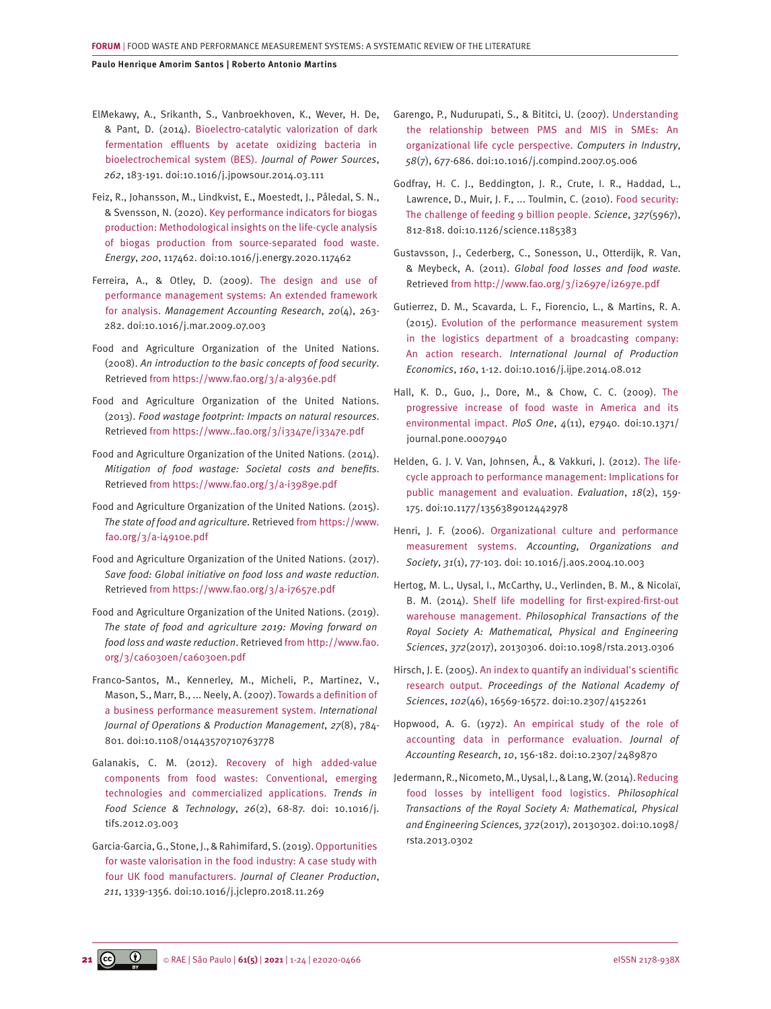<span id="page-20-0"></span>[ElMekawy, A., Srikanth, S., Vanbroekhoven, K., Wever, H. De,](https://www.sciencedirect.com/science/article/abs/pii/S0378775314004340) [& Pant, D. \(2014\). Bioelectro-catalytic valorization of dark](https://www.sciencedirect.com/science/article/abs/pii/S0378775314004340)  [fermentation effluents by acetate oxidizing bacteria in](https://www.sciencedirect.com/science/article/abs/pii/S0378775314004340)  [bioelectrochemical system \(BES\).](https://www.sciencedirect.com/science/article/abs/pii/S0378775314004340) *Journal of Power Sources*, *262*[, 183-191. doi:10.1016/j.jpowsour.2014.03.111](https://www.sciencedirect.com/science/article/abs/pii/S0378775314004340)

[Feiz, R., Johansson, M., Lindkvist, E., Moestedt, J., Påledal, S. N.,](https://ideas.repec.org/a/eee/energy/v200y2020ics0360544220305697.html) [& Svensson, N. \(2020\). Key performance indicators for biogas](https://ideas.repec.org/a/eee/energy/v200y2020ics0360544220305697.html)  [production: Methodological insights on the life-cycle analysis](https://ideas.repec.org/a/eee/energy/v200y2020ics0360544220305697.html)  [of biogas production from source-separated food waste.](https://ideas.repec.org/a/eee/energy/v200y2020ics0360544220305697.html) *Energy*, *200*, 117462. [doi:10.1016/j.energy.2020.117462](https://ideas.repec.org/a/eee/energy/v200y2020ics0360544220305697.html)

[Ferreira, A., & Otley, D. \(2009\). The design and use of](https://www.sciencedirect.com/science/article/abs/pii/S1044500509000432)  [performance management systems: An extended framework](https://www.sciencedirect.com/science/article/abs/pii/S1044500509000432)  for analysis. *[Management Accounting Research](https://www.sciencedirect.com/science/article/abs/pii/S1044500509000432)*, *20*(4), 263- [282. doi:10.1016/j.mar.2009.07.003](https://www.sciencedirect.com/science/article/abs/pii/S1044500509000432)

Food and Agriculture Organization of the United Nations. (2008). *An introduction to the basic concepts of food security*. Retrieved from<https://www.fao.org/3/a-al936e.pdf>

Food and Agriculture Organization of the United Nations. (2013). *Food wastage footprint: Impacts on natural resources.* Retrieved from<https://www..fao.org/3/i3347e/i3347e.pdf>

Food and Agriculture Organization of the United Nations. (2014). *Mitigation of food wastage: Societal costs and benefits.* Retrieved from<https://www.fao.org/3/a-i3989e.pdf>

Food and Agriculture Organization of the United Nations. (2015). *The state of food and agriculture*. Retrieved from [https://www.](https://www.fao.org/3/a-i4910e.pdf) [fao.org/3/a-i4910e.pdf](https://www.fao.org/3/a-i4910e.pdf)

Food and Agriculture Organization of the United Nations. (2017). *Save food: Global initiative on food loss and waste reduction.* Retrieved from<https://www.fao.org/3/a-i7657e.pdf>

Food and Agriculture Organization of the United Nations. (2019). *The state of food and agriculture 2019: Moving forward on food loss and waste reduction*. Retrieved from [http://www.fao.](http://www.fao.org/3/ca6030en/ca6030en.pdf) [org/3/ca6030en/ca6030en.pdf](http://www.fao.org/3/ca6030en/ca6030en.pdf)

Franco‐[Santos, M., Kennerley, M., Micheli, P., Martinez, V.,](https://core.ac.uk/download/pdf/141018.pdf) [Mason, S., Marr, B., ... Neely, A. \(2007\). Towards a definition of](https://core.ac.uk/download/pdf/141018.pdf)  [a business performance measurement system.](https://core.ac.uk/download/pdf/141018.pdf) *International [Journal of Operations & Production Management](https://core.ac.uk/download/pdf/141018.pdf)*, *27*(8), 784- [801. doi:10.1108/01443570710763778](https://core.ac.uk/download/pdf/141018.pdf)

[Galanakis, C. M. \(2012\). Recovery of high added-value](https://www.sciencedirect.com/science/article/abs/pii/S0924224412000532)  [components from food wastes: Conventional, emerging](https://www.sciencedirect.com/science/article/abs/pii/S0924224412000532)  [technologies and commercialized applications.](https://www.sciencedirect.com/science/article/abs/pii/S0924224412000532) *Trends in [Food Science & Technology](https://www.sciencedirect.com/science/article/abs/pii/S0924224412000532)*, *26*(2), 68-87. doi: 10.1016/j. [tifs.2012.03.003](https://www.sciencedirect.com/science/article/abs/pii/S0924224412000532)

[Garcia-Garcia, G., Stone, J., & Rahimifard, S. \(2019\). Opportunities](https://www.sciencedirect.com/science/article/pii/S0959652618336722)  [for waste valorisation in the food industry: A case study with](https://www.sciencedirect.com/science/article/pii/S0959652618336722)  four UK food manufacturers. *[Journal of Cleaner Production](https://www.sciencedirect.com/science/article/pii/S0959652618336722)*, *211*[, 1339-1356. doi:10.1016/j.jclepro.2018.11.269](https://www.sciencedirect.com/science/article/pii/S0959652618336722)

[Garengo, P., Nudurupati, S., & Bititci, U. \(2007\). Understanding](https://www.sciencedirect.com/science/article/abs/pii/S0166361507000723) [the relationship between PMS and MIS in SMEs: An](https://www.sciencedirect.com/science/article/abs/pii/S0166361507000723) [organizational life cycle perspective.](https://www.sciencedirect.com/science/article/abs/pii/S0166361507000723) *Computers in Industry*, *58*[\(7\), 677-686. doi:10.1016/j.compind.2007.05.006](https://www.sciencedirect.com/science/article/abs/pii/S0166361507000723)

[Godfray, H. C. J., Beddington, J. R., Crute, I. R., Haddad, L.,](https://science.sciencemag.org/content/327/5967/812.full)  [Lawrence, D., Muir, J. F., ... Toulmin, C. \(2010\). Food security:](https://science.sciencemag.org/content/327/5967/812.full) [The challenge of feeding 9 billion people.](https://science.sciencemag.org/content/327/5967/812.full) *Science*, *327*(5967), [812-818. doi:10.1126/science.1185383](https://science.sciencemag.org/content/327/5967/812.full)

Gustavsson, J., Cederberg, C., Sonesson, U., Otterdijk, R. Van, & Meybeck, A. (2011). *Global food losses and food waste.* Retrieved from<http://www.fao.org/3/i2697e/i2697e.pdf>

[Gutierrez, D. M., Scavarda, L. F., Fiorencio, L., & Martins, R. A.](https://www.sciencedirect.com/science/article/abs/pii/S0925527314002709)  [\(2015\). Evolution of the performance measurement system](https://www.sciencedirect.com/science/article/abs/pii/S0925527314002709) [in the logistics department of a broadcasting company:](https://www.sciencedirect.com/science/article/abs/pii/S0925527314002709) An action research. *[International Journal of Production](https://www.sciencedirect.com/science/article/abs/pii/S0925527314002709) Economics*, *160*[, 1-12. doi:10.1016/j.ijpe.2014.08.012](https://www.sciencedirect.com/science/article/abs/pii/S0925527314002709)

[Hall, K. D., Guo, J., Dore, M., & Chow, C. C. \(2009\). The](https://pubmed.ncbi.nlm.nih.gov/19946359/)  [progressive increase of food waste in America and its](https://pubmed.ncbi.nlm.nih.gov/19946359/) environmental impact. *PloS One*, *4*[\(11\), e7940. doi:10.1371/](https://pubmed.ncbi.nlm.nih.gov/19946359/) [journal.pone.0007940](https://pubmed.ncbi.nlm.nih.gov/19946359/)

[Helden, G. J. V. Van, Johnsen, Å., & Vakkuri, J. \(2012\). The life](https://journals.sagepub.com/doi/10.1177/1356389012442978)[cycle approach to performance management: Implications for](https://journals.sagepub.com/doi/10.1177/1356389012442978) [public management and evaluation.](https://journals.sagepub.com/doi/10.1177/1356389012442978) *Evaluation*, *18*(2), 159- [175. doi:10.1177/1356389012442978](https://journals.sagepub.com/doi/10.1177/1356389012442978)

[Henri, J. F. \(2006\). Organizational culture and performance](https://www.sciencedirect.com/science/article/abs/pii/S0361368204000832)  measurement systems. *[Accounting, Organizations and](https://www.sciencedirect.com/science/article/abs/pii/S0361368204000832)  Society*, *31*(1), 77-103. doi: [10.1016/j.aos.2004.10.003](https://www.sciencedirect.com/science/article/abs/pii/S0361368204000832)

[Hertog, M. L., Uysal, I., McCarthy, U., Verlinden, B. M., & Nicolaï,](https://onlinelibrary.wiley.com/doi/abs/10.1111/j.1539-6924.2009.01338.x)  [B. M. \(2014\). Shelf life modelling for first-expired-first-out](https://onlinelibrary.wiley.com/doi/abs/10.1111/j.1539-6924.2009.01338.x) warehouse management. *[Philosophical Transactions of the](https://onlinelibrary.wiley.com/doi/abs/10.1111/j.1539-6924.2009.01338.x) [Royal Society A: Mathematical, Physical and Engineering](https://onlinelibrary.wiley.com/doi/abs/10.1111/j.1539-6924.2009.01338.x) Sciences*, *372*[\(2017\), 20130306. doi:10.1098/rsta.2013.0306](https://onlinelibrary.wiley.com/doi/abs/10.1111/j.1539-6924.2009.01338.x)

[Hirsch, J. E. \(2005\). An index to quantify an individual's scientific](https://www.pnas.org/content/102/46/16569) research output. *[Proceedings of the National Academy of](https://www.pnas.org/content/102/46/16569) Sciences*, *102*[\(46\), 16569-16572. doi:10.2307/4152261](https://www.pnas.org/content/102/46/16569)

[Hopwood, A. G. \(1972\). An empirical study of the role of](https://www.jstor.org/stable/2489870) [accounting data in performance evaluation.](https://www.jstor.org/stable/2489870) *Journal of Accounting Research*, *10*[, 156-182. doi:10.2307/2489870](https://www.jstor.org/stable/2489870)

[Jedermann, R., Nicometo, M., Uysal, I., & Lang, W. \(2014\). Reducing](https://royalsocietypublishing.org/doi/10.1098/rsta.2013.0302) [food losses by intelligent food logistics.](https://royalsocietypublishing.org/doi/10.1098/rsta.2013.0302) *Philosophical [Transactions of the Royal Society A: Mathematical, Physical](https://royalsocietypublishing.org/doi/10.1098/rsta.2013.0302) and Engineering Sciences, 372*[\(2017\), 20130302. doi:10.1098/](https://royalsocietypublishing.org/doi/10.1098/rsta.2013.0302) [rsta.2013.0302](https://royalsocietypublishing.org/doi/10.1098/rsta.2013.0302)

**21**  $(G)$  $\bullet$   $\circ$  RAE | São Paulo | **61(5)** | **2021** | 1-24 | e2020-0466 eISSN 2178-938X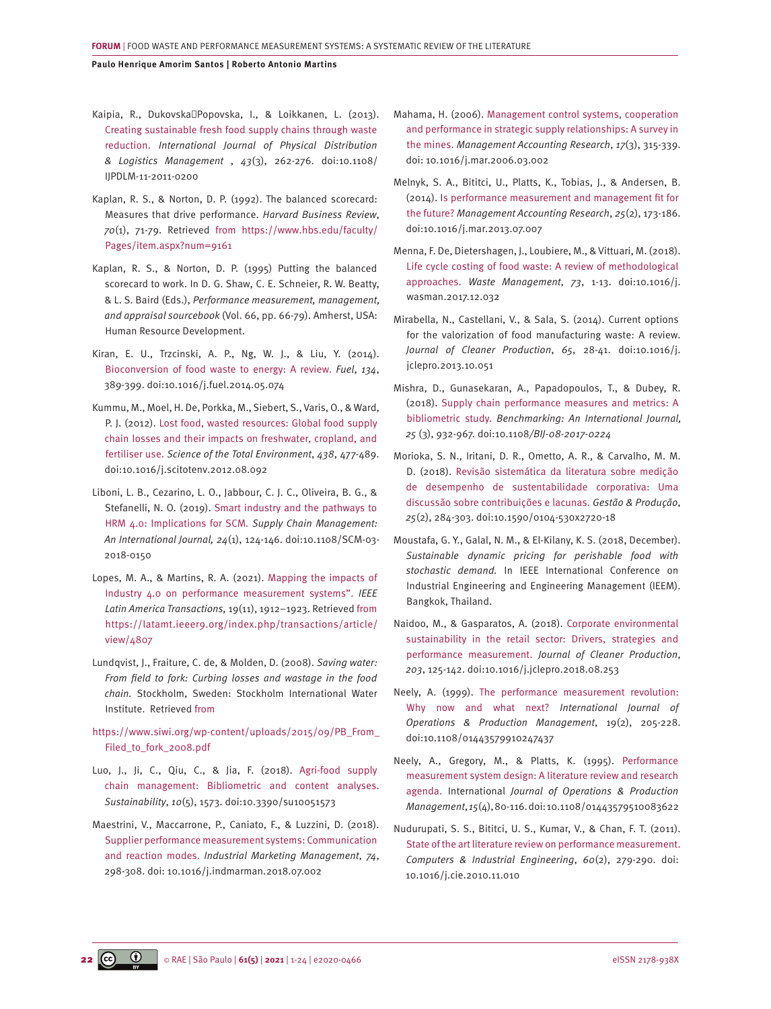- <span id="page-21-0"></span>[Kaipia, R., Dukovska‐Popovska, I., & Loikkanen, L. \(2013\).](https://www.deepdyve.com/lp/emerald-publishing/creating-sustainable-fresh-food-supply-chains-through-waste-reduction-XpNch6Og8j) [Creating sustainable fresh food supply chains through waste](https://www.deepdyve.com/lp/emerald-publishing/creating-sustainable-fresh-food-supply-chains-through-waste-reduction-XpNch6Og8j)  reduction. *[International Journal of Physical Distribution](https://www.deepdyve.com/lp/emerald-publishing/creating-sustainable-fresh-food-supply-chains-through-waste-reduction-XpNch6Og8j)  & Logistics Management* , *43*[\(3\), 262-276. doi:10.1108/](https://www.deepdyve.com/lp/emerald-publishing/creating-sustainable-fresh-food-supply-chains-through-waste-reduction-XpNch6Og8j) [IJPDLM-11-2011-0200](https://www.deepdyve.com/lp/emerald-publishing/creating-sustainable-fresh-food-supply-chains-through-waste-reduction-XpNch6Og8j)
- Kaplan, R. S., & Norton, D. P. (1992). The balanced scorecard: Measures that drive performance. *Harvard Business Review*, *70*(1), 71-79. Retrieved from [https://www.hbs.edu/faculty/](https://www.hbs.edu/faculty/Pages/item.aspx?num=9161) [Pages/item.aspx?num=9161](https://www.hbs.edu/faculty/Pages/item.aspx?num=9161)
- Kaplan, R. S., & Norton, D. P. (1995) Putting the balanced scorecard to work. In D. G. Shaw, C. E. Schneier, R. W. Beatty, & L. S. Baird (Eds.), *Performance measurement, management, and appraisal sourcebook* (Vol. 66, pp. 66-79). Amherst, USA: Human Resource Development.
- [Kiran, E. U., Trzcinski, A. P., Ng, W. J., & Liu, Y. \(2014\).](https://dr.ntu.edu.sg/handle/10220/35794) [Bioconversion of food waste to energy: A review.](https://dr.ntu.edu.sg/handle/10220/35794) *Fuel*, *134*, [389-399. doi:10.1016/j.fuel.2014.05.074](https://dr.ntu.edu.sg/handle/10220/35794)
- [Kummu, M., Moel, H. De, Porkka, M., Siebert, S., Varis, O., & Ward,](https://www.sciencedirect.com/science/article/pii/S0048969712011862) [P. J. \(2012\). Lost food, wasted resources: Global food supply](https://www.sciencedirect.com/science/article/pii/S0048969712011862)  [chain losses and their impacts on freshwater, cropland, and](https://www.sciencedirect.com/science/article/pii/S0048969712011862)  fertiliser use. *[Science of the Total Environment](https://www.sciencedirect.com/science/article/pii/S0048969712011862)*, *438*, 477-489. [doi:10.1016/j.scitotenv.2012.08.092](https://www.sciencedirect.com/science/article/pii/S0048969712011862)
- [Liboni, L. B., Cezarino, L. O., Jabbour, C. J. C., Oliveira, B. G., &](http://eprints.lincoln.ac.uk/id/eprint/39685/)  [Stefanelli, N. O. \(2019\). Smart industry and the pathways to](http://eprints.lincoln.ac.uk/id/eprint/39685/)  [HRM 4.0: Implications for SCM](http://eprints.lincoln.ac.uk/id/eprint/39685/)*. Supply Chain Management: [An International Journal, 24](http://eprints.lincoln.ac.uk/id/eprint/39685/)*(1), 124-146. doi:10.1108/SCM-03- [2018-0150](http://eprints.lincoln.ac.uk/id/eprint/39685/)
- [Lopes, M. A., & Martins, R. A. \(2021\). Mapping the impacts of](https://latamt.ieeer9.org/index.php/transactions/article/view/4807)  [Industry 4.0 on performance measurement systems".](https://latamt.ieeer9.org/index.php/transactions/article/view/4807) *IEEE Latin America Transactions,* [19\(11\), 1912–1923. Retrieved from](https://latamt.ieeer9.org/index.php/transactions/article/view/4807)  [https://latamt.ieeer9.org/index.php/transactions/article/](https://latamt.ieeer9.org/index.php/transactions/article/view/4807) [view/4807](https://latamt.ieeer9.org/index.php/transactions/article/view/4807)
- Lundqvist, J., Fraiture, C. de, & Molden, D. (2008). *Saving water: From field to fork: Curbing losses and wastage in the food chain.* Stockholm, Sweden: Stockholm International Water Institute. Retrieved from
- [https://www.siwi.org/wp-content/uploads/2015/09/PB\\_From\\_](https://www.siwi.org/wp-content/uploads/2015/09/PB_From_Filed_to_fork_2008.pdf) Filed to fork 2008.pdf
- [Luo, J., Ji, C., Qiu, C., & Jia, F. \(2018\). Agri-food supply](file://C:\Users\denise.candido\Desktop\OneDrive  FGV\EDIÕES\RAE v61 n5 2021_Frum Food Waste\VERSO ORIGINAL\APROVADO PELOS AUTORES\Luo, J., Ji, C., Qiu, C., & Jia, F. (2018). Agri-food supply chain management: Bibliometric and content analyses. Sustainability, 10(5), 1573. doi:10.3390\su10051573)  [chain management: Bibliometric and content analyses.](file://C:\Users\denise.candido\Desktop\OneDrive - FGV\EDIÕES\RAE v61 n5 2021_Frum Food Waste\VERSO ORIGINAL\APROVADO PELOS AUTORES\Luo, J., Ji, C., Qiu, C., & Jia, F. (2018). Agri-food supply chain management: Bibliometric and content analyses. Sustainability, 10(5), 1573. doi:10.3390\su10051573) *Sustainability*, *10*[\(5\), 1573. doi:10.3390/su10051573](file://C:\Users\denise.candido\Desktop\OneDrive - FGV\EDIÕES\RAE v61 n5 2021_Frum Food Waste\VERSO ORIGINAL\APROVADO PELOS AUTORES\Luo, J., Ji, C., Qiu, C., & Jia, F. (2018). Agri-food supply chain management: Bibliometric and content analyses. Sustainability, 10(5), 1573. doi:10.3390\su10051573)
- [Maestrini, V., Maccarrone, P., Caniato, F., & Luzzini, D. \(2018\).](https://onlinelibrary.wiley.com/doi/10.1111/j.1745-493X.2002.tb00118.x) [Supplier performance measurement systems: Communication](https://onlinelibrary.wiley.com/doi/10.1111/j.1745-493X.2002.tb00118.x)  and reaction modes. *[Industrial Marketing Management](https://onlinelibrary.wiley.com/doi/10.1111/j.1745-493X.2002.tb00118.x)*, *74*, 298-308. doi: [10.1016/j.indmarman.2018.07.002](https://onlinelibrary.wiley.com/doi/10.1111/j.1745-493X.2002.tb00118.x)
- [Mahama, H. \(2006\). Management control systems, cooperation](https://www.sciencedirect.com/science/article/abs/pii/S104450050600014X) [and performance in strategic supply relationships: A survey in](https://www.sciencedirect.com/science/article/abs/pii/S104450050600014X) the mines. *[Management Accounting Research](https://www.sciencedirect.com/science/article/abs/pii/S104450050600014X)*, *17*(3), 315-339. doi: [10.1016/j.mar.2006.03.002](https://www.sciencedirect.com/science/article/abs/pii/S104450050600014X)
- [Melnyk, S. A., Bititci, U., Platts, K., Tobias, J., & Andersen, B.](http://publications.eng.cam.ac.uk/635857/)  [\(2014\). Is performance measurement and management fit for](http://publications.eng.cam.ac.uk/635857/) the future? *[Management Accounting Research](http://publications.eng.cam.ac.uk/635857/)*, *25*(2), 173-186. [doi:10.1016/j.mar.2013.07.007](http://publications.eng.cam.ac.uk/635857/)
- [Menna, F. De, Dietershagen, J., Loubiere, M., & Vittuari, M. \(2018\).](file://C:\Users\denise.candido\Desktop\OneDrive  FGV\EDIÕES\RAE v61 n5 2021_Frum Food Waste\VERSO%20ORIGINAL\APROVADO%20PELOS%20AUTORES\Menna, F. De, Dietershagen, J., Loubiere, M., & Vittuari, M. (2018). Life cycle costing of food waste: A review of methodological approaches. Waste Management, 73, 1-13. doi:10.1016\j.wasman.2017.12.032)  [Life cycle costing of food waste: A review of methodological](file://C:\Users\denise.candido\Desktop\OneDrive - FGV\EDIÕES\RAE v61 n5 2021_Frum Food Waste\VERSO%20ORIGINAL\APROVADO%20PELOS%20AUTORES\Menna, F. De, Dietershagen, J., Loubiere, M., & Vittuari, M. (2018). Life cycle costing of food waste: A review of methodological approaches. Waste Management, 73, 1-13. doi:10.1016\j.wasman.2017.12.032)  approaches. *Waste Management*, *73*[, 1-13. doi:10.1016/j.](file://C:\Users\denise.candido\Desktop\OneDrive - FGV\EDIÕES\RAE v61 n5 2021_Frum Food Waste\VERSO%20ORIGINAL\APROVADO%20PELOS%20AUTORES\Menna, F. De, Dietershagen, J., Loubiere, M., & Vittuari, M. (2018). Life cycle costing of food waste: A review of methodological approaches. Waste Management, 73, 1-13. doi:10.1016\j.wasman.2017.12.032) [wasman.2017.12.032](file://C:\Users\denise.candido\Desktop\OneDrive - FGV\EDIÕES\RAE v61 n5 2021_Frum Food Waste\VERSO%20ORIGINAL\APROVADO%20PELOS%20AUTORES\Menna, F. De, Dietershagen, J., Loubiere, M., & Vittuari, M. (2018). Life cycle costing of food waste: A review of methodological approaches. Waste Management, 73, 1-13. doi:10.1016\j.wasman.2017.12.032)
- Mirabella, N., Castellani, V., & Sala, S. (2014). Current options for the valorization of food manufacturing waste: A review. *Journal of Cleaner Production*, *65*, 28-41. doi:10.1016/j. jclepro.2013.10.051
- [Mishra, D., Gunasekaran, A., Papadopoulos, T., & Dubey, R.](https://www.emerald.com/insight/content/doi/10.1108/BIJ-08-2017-0224/full/html)  [\(2018\). Supply chain performance measures and metrics: A](https://www.emerald.com/insight/content/doi/10.1108/BIJ-08-2017-0224/full/html) bibliometric study. *[Benchmarking: An International Journal,](https://www.emerald.com/insight/content/doi/10.1108/BIJ-08-2017-0224/full/html) 25* [\(3\), 932-967. doi:10.1108](https://www.emerald.com/insight/content/doi/10.1108/BIJ-08-2017-0224/full/html)*/BIJ-08-2017-022[4](https://repositorio.usp.br/item/002969992)*
- [Morioka, S. N., Iritani, D. R., Ometto, A. R., & Carvalho, M. M.](https://repositorio.usp.br/item/002969992)  [D. \(2018\). Revisão sistemática da literatura sobre medição](https://repositorio.usp.br/item/002969992)  [de desempenho de sustentabilidade corporativa: Uma](https://repositorio.usp.br/item/002969992) [discussão sobre contribuições e lacunas.](https://repositorio.usp.br/item/002969992) *Gestão & Produção*, *25*[\(2\), 284-303. doi:10.1590/0104-530x2720-18](https://repositorio.usp.br/item/002969992)
- Moustafa, G. Y., Galal, N. M., & El-Kilany, K. S. (2018, December). *Sustainable dynamic pricing for perishable food with stochastic demand.* In IEEE International Conference on Industrial Engineering and Engineering Management (IEEM). Bangkok, Thailand.
- [Naidoo, M., & Gasparatos, A. \(2018\). Corporate environmental](https://www.sciencedirect.com/science/article/abs/pii/S0959652618326040)  [sustainability in the retail sector: Drivers, strategies and](https://www.sciencedirect.com/science/article/abs/pii/S0959652618326040) performance measurement. *[Journal of Cleaner Production](https://www.sciencedirect.com/science/article/abs/pii/S0959652618326040)*, *203*[, 125-142. doi:10.1016/j.jclepro.2018.08.253](https://www.sciencedirect.com/science/article/abs/pii/S0959652618326040)
- [Neely, A. \(1999\). The performance measurement revolution:](https://www.emerald.com/insight/content/doi/10.1108/01443579910247437/full/html) [Why now and what next?](https://www.emerald.com/insight/content/doi/10.1108/01443579910247437/full/html) *International Journal of [Operations & Production Management](https://www.emerald.com/insight/content/doi/10.1108/01443579910247437/full/html)*, 19(2), 205-228. [doi:10.1108/01443579910247437](https://www.emerald.com/insight/content/doi/10.1108/01443579910247437/full/html)
- [Neely, A., Gregory, M., & Platts, K. \(1995\). Performance](https://courses.ie.bilkent.edu.tr/ie102/wp-content/uploads/sites/11/2017/02/Neely-et-al-2005.pdf)  [measurement system design: A literature review and research](https://courses.ie.bilkent.edu.tr/ie102/wp-content/uploads/sites/11/2017/02/Neely-et-al-2005.pdf) agenda. International *[Journal of Operations & Production](https://courses.ie.bilkent.edu.tr/ie102/wp-content/uploads/sites/11/2017/02/Neely-et-al-2005.pdf) Management*, *15*[\(4\), 80-116. doi:10.1108/01443579510083622](https://courses.ie.bilkent.edu.tr/ie102/wp-content/uploads/sites/11/2017/02/Neely-et-al-2005.pdf)
- [Nudurupati, S. S., Bititci, U. S., Kumar, V., & Chan, F. T. \(2011\).](https://core.ac.uk/download/pdf/96726995.pdf)  [State of the art literature review on performance measurement.](https://core.ac.uk/download/pdf/96726995.pdf)  *[Computers & Industrial Engineering](https://core.ac.uk/download/pdf/96726995.pdf)*, *60*(2), 279-290. doi: [10.1016/j.cie.2010.11.010](https://core.ac.uk/download/pdf/96726995.pdf)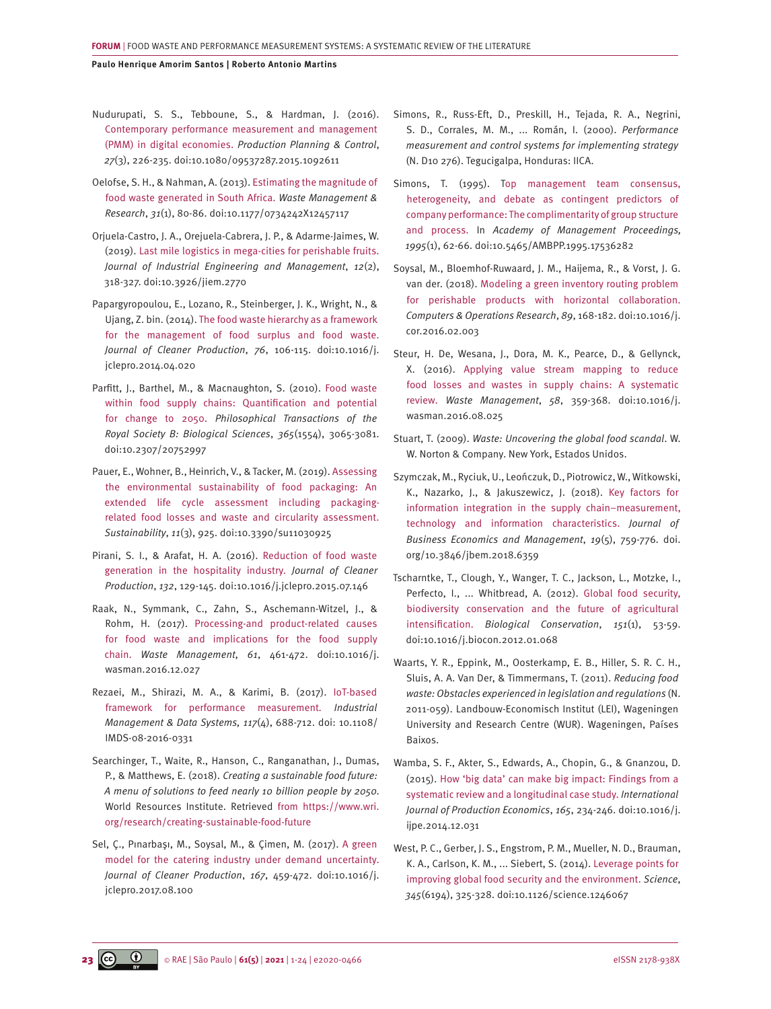- <span id="page-22-0"></span>[Nudurupati, S. S., Tebboune, S., & Hardman, J. \(2016\).](https://www.tandfonline.com/doi/pdf/10.1080/09537287.2015.1092611) [Contemporary performance measurement and management](https://www.tandfonline.com/doi/pdf/10.1080/09537287.2015.1092611)  (PMM) in digital economies. *[Production Planning & Control](https://www.tandfonline.com/doi/pdf/10.1080/09537287.2015.1092611)*, *27*[\(3\), 226-235. doi:10.1080/09537287.2015.1092611](https://www.tandfonline.com/doi/pdf/10.1080/09537287.2015.1092611)
- [Oelofse, S. H., & Nahman, A. \(2013\). Estimating the magnitude of](https://journals.sagepub.com/doi/abs/10.1177/0734242X12457117)  [food waste generated in South Africa.](https://journals.sagepub.com/doi/abs/10.1177/0734242X12457117) *Waste Management & Research*, *31*[\(1\), 80-86. doi:10.1177/0734242X12457117](https://journals.sagepub.com/doi/abs/10.1177/0734242X12457117)
- [Orjuela-Castro, J. A., Orejuela-Cabrera, J. P., & Adarme-Jaimes, W.](http://www.jiem.org/index.php/jiem/article/view/2770) [\(2019\). Last mile logistics in mega-cities for perishable fruits.](http://www.jiem.org/index.php/jiem/article/view/2770) *[Journal of Industrial Engineering and Management](http://www.jiem.org/index.php/jiem/article/view/2770)*, *12*(2), 318-327. [doi:10.3926/jiem.2770](http://www.jiem.org/index.php/jiem/article/view/2770)
- [Papargyropoulou, E., Lozano, R., Steinberger, J. K., Wright, N., &](https://www.sciencedirect.com/science/article/abs/pii/S0959652614003680)  [Ujang, Z. bin. \(2014\). The food waste hierarchy as a framework](https://www.sciencedirect.com/science/article/abs/pii/S0959652614003680)  [for the management of food surplus and food waste.](https://www.sciencedirect.com/science/article/abs/pii/S0959652614003680) *[Journal of Cleaner Production](https://www.sciencedirect.com/science/article/abs/pii/S0959652614003680)*, *76*, 106-115. doi:10.1016/j. [jclepro.2014.04.020](https://www.sciencedirect.com/science/article/abs/pii/S0959652614003680)
- [Parfitt, J., Barthel, M., & Macnaughton, S. \(2010\). Food waste](https://royalsocietypublishing.org/doi/10.1098/rstb.2010.0126)  [within food supply chains: Quantification and potential](https://royalsocietypublishing.org/doi/10.1098/rstb.2010.0126)  for change to 2050. *[Philosophical Transactions of the](https://royalsocietypublishing.org/doi/10.1098/rstb.2010.0126)  [Royal Society B: Biological Sciences](https://royalsocietypublishing.org/doi/10.1098/rstb.2010.0126)*, *365*(1554), 3065-3081. [doi:10.2307/20752997](https://royalsocietypublishing.org/doi/10.1098/rstb.2010.0126)
- [Pauer, E., Wohner, B., Heinrich, V., & Tacker, M. \(2019\). Assessing](https://royalsocietypublishing.org/doi/10.1098/rstb.2010.0126)  [the environmental sustainability of food packaging: An](https://royalsocietypublishing.org/doi/10.1098/rstb.2010.0126)  [extended life cycle assessment including packaging](https://royalsocietypublishing.org/doi/10.1098/rstb.2010.0126)[related food losses and waste and circularity assessment.](https://royalsocietypublishing.org/doi/10.1098/rstb.2010.0126) *Sustainability*, *11*[\(3\), 925. doi:10.3390/su11030925](https://royalsocietypublishing.org/doi/10.1098/rstb.2010.0126)
- [Pirani, S. I., & Arafat, H. A. \(2016\). Reduction of food waste](https://www.sciencedirect.com/science/article/abs/pii/S095965261501077X)  [generation in the hospitality industry.](https://www.sciencedirect.com/science/article/abs/pii/S095965261501077X) *Journal of Cleaner Production*, *132*, 129-145. [doi:10.1016/j.jclepro.2015.07.146](https://www.sciencedirect.com/science/article/abs/pii/S095965261501077X)
- [Raak, N., Symmank, C., Zahn, S., Aschemann-Witzel, J., &](https://www.sciencedirect.com/science/article/abs/pii/S0956053X16307644?via%3Dihub)  [Rohm, H. \(2017\). Processing-and product-related causes](https://www.sciencedirect.com/science/article/abs/pii/S0956053X16307644?via%3Dihub)  [for food waste and implications for the food supply](https://www.sciencedirect.com/science/article/abs/pii/S0956053X16307644?via%3Dihub)  chain. *[Waste Management](https://www.sciencedirect.com/science/article/abs/pii/S0956053X16307644?via%3Dihub)*, *61*, 461-472. doi:10.1016/j. [wasman.2016.12.027](https://www.sciencedirect.com/science/article/abs/pii/S0956053X16307644?via%3Dihub)
- [Rezaei, M., Shirazi, M. A., & Karimi, B. \(2017\). IoT-based](https://www.emerald.com/insight/content/doi/10.1108/IMDS-08-2016-0331/full/html)  [framework for performance measurement](https://www.emerald.com/insight/content/doi/10.1108/IMDS-08-2016-0331/full/html)*. Industrial [Management & Data Systems, 117](https://www.emerald.com/insight/content/doi/10.1108/IMDS-08-2016-0331/full/html)*(4), 688-712. doi: 10.1108/ [IMDS-08-2016-0331](https://www.emerald.com/insight/content/doi/10.1108/IMDS-08-2016-0331/full/html)
- Searchinger, T., Waite, R., Hanson, C., Ranganathan, J., Dumas, P., & Matthews, E. (2018). *Creating a sustainable food future: A menu of solutions to feed nearly 10 billion people by 2050.* World Resources Institute. Retrieved from [https://www.wri.](https://www.wri.org/research/creating-sustainable-food-future) [org/research/creating-sustainable-food-future](https://www.wri.org/research/creating-sustainable-food-future)
- [Sel, Ç., Pınarbaşı, M., Soysal, M., & Çimen, M. \(2017\). A green](https://www.sciencedirect.com/science/article/abs/pii/S0959652617318176)  [model for the catering industry under demand uncertainty.](https://www.sciencedirect.com/science/article/abs/pii/S0959652617318176) *[Journal of Cleaner Production](https://www.sciencedirect.com/science/article/abs/pii/S0959652617318176)*, *167*, 459-472. doi:10.1016/j. [jclepro.2017.08.100](https://www.sciencedirect.com/science/article/abs/pii/S0959652617318176)
- Simons, R., Russ-Eft, D., Preskill, H., Tejada, R. A., Negrini, S. D., Corrales, M. M., ... Román, I. (2000). *Performance measurement and control systems for implementing strategy* (N. D10 276). Tegucigalpa, Honduras: IICA.
- [Simons, T. \(1995\). Top management team consensus,](https://journals.aom.org/toc/amproc/1995/1)  [heterogeneity, and debate as contingent predictors of](https://journals.aom.org/toc/amproc/1995/1) [company performance: The complimentarity of group structure](https://journals.aom.org/toc/amproc/1995/1)  and process. In *[Academy of Management Proceedings,](https://journals.aom.org/toc/amproc/1995/1) 1995*[\(1\), 62-66. doi:10.5465/AMBPP.1995.17536282](https://journals.aom.org/toc/amproc/1995/1)
- [Soysal, M., Bloemhof-Ruwaard, J. M., Haijema, R., & Vorst, J. G.](https://www.sciencedirect.com/science/article/abs/pii/S030505481630020X)  [van der. \(2018\). Modeling a green inventory routing problem](https://www.sciencedirect.com/science/article/abs/pii/S030505481630020X) [for perishable products with horizontal collaboration.](https://www.sciencedirect.com/science/article/abs/pii/S030505481630020X)  *[Computers & Operations Research](https://www.sciencedirect.com/science/article/abs/pii/S030505481630020X)*, *89*, 168-182. doi:10.1016/j. [cor.2016.02.003](https://www.sciencedirect.com/science/article/abs/pii/S030505481630020X)
- [Steur, H. De, Wesana, J., Dora, M. K., Pearce, D., & Gellynck,](https://biblio.ugent.be/publication/8500183)  [X. \(2016\). Applying value stream mapping to reduce](https://biblio.ugent.be/publication/8500183)  [food losses and wastes in supply chains: A systematic](https://biblio.ugent.be/publication/8500183) review. *Waste Management*, *58*[, 359-368. doi:10.1016/j.](https://biblio.ugent.be/publication/8500183) [wasman.2016.08.025](https://biblio.ugent.be/publication/8500183)
- Stuart, T. (2009). *Waste: Uncovering the global food scandal*. W. W. Norton & Company. New York, Estados Unidos.
- [Szymczak, M., Ryciuk, U., Leończuk, D., Piotrowicz, W., Witkowski,](https://onlinelibrary.wiley.com/doi/10.1016/j.jom.2005.01.002)  [K., Nazarko, J., & Jakuszewicz, J. \(2018\). Key factors for](https://onlinelibrary.wiley.com/doi/10.1016/j.jom.2005.01.002) [information integration in the supply chain–measurement,](https://onlinelibrary.wiley.com/doi/10.1016/j.jom.2005.01.002)  [technology and information characteristics.](https://onlinelibrary.wiley.com/doi/10.1016/j.jom.2005.01.002) *Journal of [Business Economics and Management](https://onlinelibrary.wiley.com/doi/10.1016/j.jom.2005.01.002)*, *19*(5), 759-776. doi. [org/10.3846/jbem.2018.6359](https://onlinelibrary.wiley.com/doi/10.1016/j.jom.2005.01.002)
- [Tscharntke, T., Clough, Y., Wanger, T. C., Jackson, L., Motzke, I.,](https://www.sciencedirect.com/science/article/abs/pii/S0006320712000821)  Perfecto, I., ... Whitbread, A. (2012). Global food security, [biodiversity conservation and the future of agricultural](https://www.sciencedirect.com/science/article/abs/pii/S0006320712000821)  intensification. *[Biological Conservation](https://www.sciencedirect.com/science/article/abs/pii/S0006320712000821)*, *151*(1), 53-59. [doi:10.1016/j.biocon.2012.01.068](https://www.sciencedirect.com/science/article/abs/pii/S0006320712000821)
- Waarts, Y. R., Eppink, M., Oosterkamp, E. B., Hiller, S. R. C. H., Sluis, A. A. Van Der, & Timmermans, T. (2011). *Reducing food waste: Obstacles experienced in legislation and regulations* (N. 2011-059). Landbouw-Economisch Institut (LEI), Wageningen University and Research Centre (WUR). Wageningen, Países Baixos.
- [Wamba, S. F., Akter, S., Edwards, A., Chopin, G., & Gnanzou, D.](https://www.sciencedirect.com/science/article/abs/pii/S0925527314004253?via%3Dihub)  [\(2015\). How 'big data' can make big impact: Findings from a](https://www.sciencedirect.com/science/article/abs/pii/S0925527314004253?via%3Dihub) [systematic review and a longitudinal case study.](https://www.sciencedirect.com/science/article/abs/pii/S0925527314004253?via%3Dihub) *International [Journal of Production Economics](https://www.sciencedirect.com/science/article/abs/pii/S0925527314004253?via%3Dihub)*, *165*, 234-246. doi:10.1016/j. [ijpe.2014.12.031](https://www.sciencedirect.com/science/article/abs/pii/S0925527314004253?via%3Dihub)
- [West, P. C., Gerber, J. S., Engstrom, P. M., Mueller, N. D., Brauman,](https://journal.hep.com.cn/fase/EN/10.15302/J-FASE-2018230)  [K. A., Carlson, K. M., ... Siebert, S. \(2014\). Leverage points for](https://journal.hep.com.cn/fase/EN/10.15302/J-FASE-2018230) [improving global food security and the environment.](https://journal.hep.com.cn/fase/EN/10.15302/J-FASE-2018230) *Science*, *345*[\(6194\), 325-328. doi:10.1126/science.1246067](https://journal.hep.com.cn/fase/EN/10.15302/J-FASE-2018230)